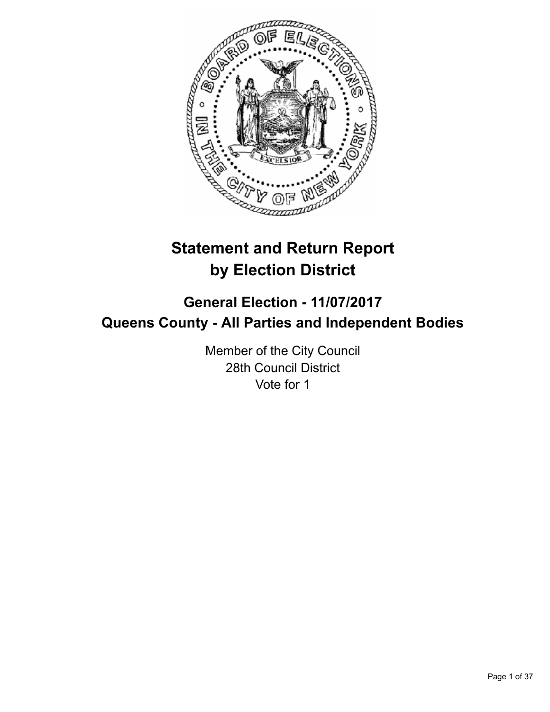

# **Statement and Return Report by Election District**

# **General Election - 11/07/2017 Queens County - All Parties and Independent Bodies**

Member of the City Council 28th Council District Vote for 1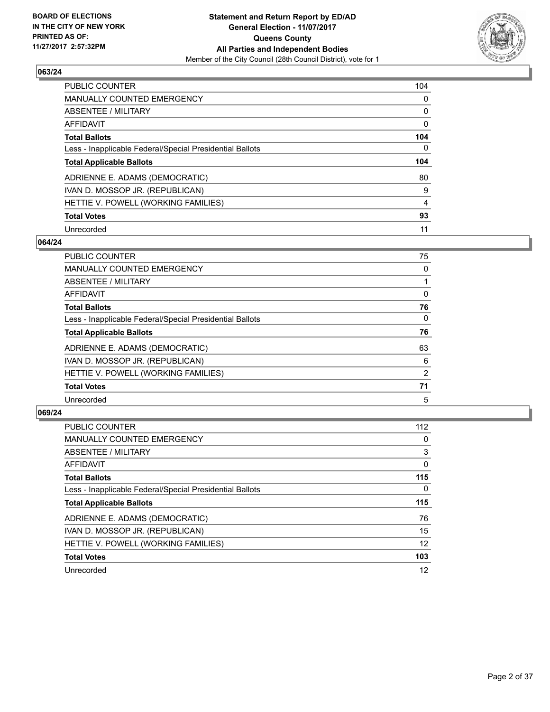

| <b>PUBLIC COUNTER</b>                                    | 104 |
|----------------------------------------------------------|-----|
| <b>MANUALLY COUNTED EMERGENCY</b>                        | 0   |
| ABSENTEE / MILITARY                                      | 0   |
| <b>AFFIDAVIT</b>                                         | 0   |
| <b>Total Ballots</b>                                     | 104 |
| Less - Inapplicable Federal/Special Presidential Ballots | 0   |
| <b>Total Applicable Ballots</b>                          | 104 |
| ADRIENNE E. ADAMS (DEMOCRATIC)                           | 80  |
| IVAN D. MOSSOP JR. (REPUBLICAN)                          | 9   |
| HETTIE V. POWELL (WORKING FAMILIES)                      | 4   |
| <b>Total Votes</b>                                       | 93  |
|                                                          |     |

#### **064/24**

| PUBLIC COUNTER                                           | 75       |
|----------------------------------------------------------|----------|
| <b>MANUALLY COUNTED EMERGENCY</b>                        | 0        |
| ABSENTEE / MILITARY                                      |          |
| <b>AFFIDAVIT</b>                                         | 0        |
| <b>Total Ballots</b>                                     | 76       |
| Less - Inapplicable Federal/Special Presidential Ballots | $\Omega$ |
| <b>Total Applicable Ballots</b>                          | 76       |
| ADRIENNE E. ADAMS (DEMOCRATIC)                           | 63       |
| IVAN D. MOSSOP JR. (REPUBLICAN)                          | 6        |
| HETTIE V. POWELL (WORKING FAMILIES)                      | 2        |
| <b>Total Votes</b>                                       | 71       |
| Unrecorded                                               | 5        |

| <b>PUBLIC COUNTER</b>                                    | 112 |
|----------------------------------------------------------|-----|
| <b>MANUALLY COUNTED EMERGENCY</b>                        | 0   |
| ABSENTEE / MILITARY                                      | 3   |
| AFFIDAVIT                                                | 0   |
| <b>Total Ballots</b>                                     | 115 |
| Less - Inapplicable Federal/Special Presidential Ballots | 0   |
| <b>Total Applicable Ballots</b>                          | 115 |
| ADRIENNE E. ADAMS (DEMOCRATIC)                           | 76  |
| IVAN D. MOSSOP JR. (REPUBLICAN)                          | 15  |
| HETTIE V. POWELL (WORKING FAMILIES)                      | 12  |
| <b>Total Votes</b>                                       | 103 |
| Unrecorded                                               | 12  |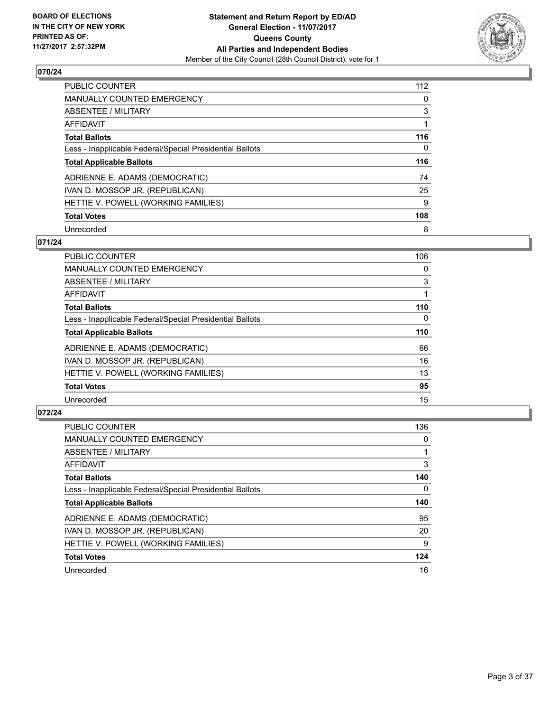

| <b>PUBLIC COUNTER</b>                                    | 112 |
|----------------------------------------------------------|-----|
| <b>MANUALLY COUNTED EMERGENCY</b>                        | 0   |
| ABSENTEE / MILITARY                                      | 3   |
| AFFIDAVIT                                                |     |
| <b>Total Ballots</b>                                     | 116 |
| Less - Inapplicable Federal/Special Presidential Ballots | 0   |
| <b>Total Applicable Ballots</b>                          | 116 |
| ADRIENNE E. ADAMS (DEMOCRATIC)                           | 74  |
| IVAN D. MOSSOP JR. (REPUBLICAN)                          | 25  |
| HETTIE V. POWELL (WORKING FAMILIES)                      | 9   |
|                                                          |     |
| <b>Total Votes</b>                                       | 108 |

#### **071/24**

| <b>PUBLIC COUNTER</b>                                    | 106      |
|----------------------------------------------------------|----------|
| <b>MANUALLY COUNTED EMERGENCY</b>                        | 0        |
| ABSENTEE / MILITARY                                      | 3        |
| <b>AFFIDAVIT</b>                                         |          |
| <b>Total Ballots</b>                                     | 110      |
| Less - Inapplicable Federal/Special Presidential Ballots | $\Omega$ |
| <b>Total Applicable Ballots</b>                          | 110      |
| ADRIENNE E. ADAMS (DEMOCRATIC)                           | 66       |
| IVAN D. MOSSOP JR. (REPUBLICAN)                          | 16       |
| HETTIE V. POWELL (WORKING FAMILIES)                      | 13       |
| <b>Total Votes</b>                                       | 95       |
| Unrecorded                                               | 15       |

| <b>PUBLIC COUNTER</b>                                    | 136 |
|----------------------------------------------------------|-----|
| <b>MANUALLY COUNTED EMERGENCY</b>                        | 0   |
| ABSENTEE / MILITARY                                      |     |
| AFFIDAVIT                                                | 3   |
| <b>Total Ballots</b>                                     | 140 |
| Less - Inapplicable Federal/Special Presidential Ballots | 0   |
| <b>Total Applicable Ballots</b>                          | 140 |
|                                                          |     |
| ADRIENNE E. ADAMS (DEMOCRATIC)                           | 95  |
| IVAN D. MOSSOP JR. (REPUBLICAN)                          | 20  |
| HETTIE V. POWELL (WORKING FAMILIES)                      | 9   |
| <b>Total Votes</b>                                       | 124 |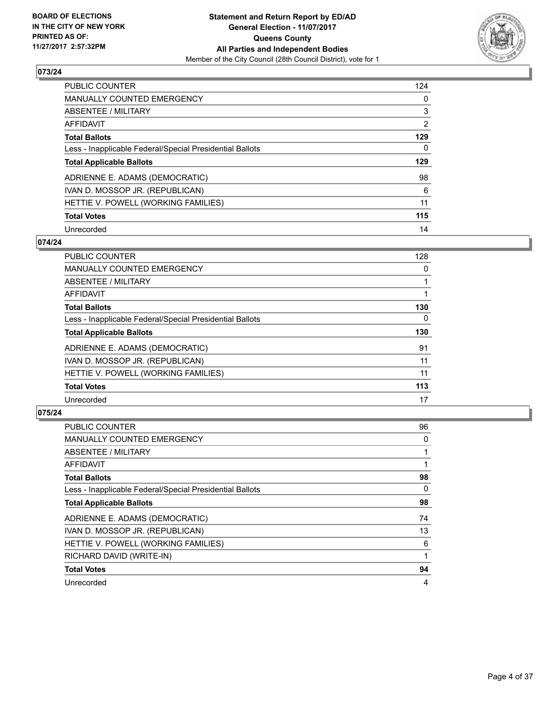

| <b>PUBLIC COUNTER</b>                                    | 124            |
|----------------------------------------------------------|----------------|
| <b>MANUALLY COUNTED EMERGENCY</b>                        | 0              |
| ABSENTEE / MILITARY                                      | 3              |
| AFFIDAVIT                                                | $\overline{2}$ |
| <b>Total Ballots</b>                                     | 129            |
| Less - Inapplicable Federal/Special Presidential Ballots | 0              |
| <b>Total Applicable Ballots</b>                          | 129            |
| ADRIENNE E. ADAMS (DEMOCRATIC)                           | 98             |
| IVAN D. MOSSOP JR. (REPUBLICAN)                          | 6              |
| HETTIE V. POWELL (WORKING FAMILIES)                      | 11             |
| <b>Total Votes</b>                                       | 115            |
| Unrecorded                                               | 14             |

#### **074/24**

| <b>PUBLIC COUNTER</b>                                    | 128 |
|----------------------------------------------------------|-----|
| MANUALLY COUNTED EMERGENCY                               | 0   |
| ABSENTEE / MILITARY                                      |     |
| <b>AFFIDAVIT</b>                                         |     |
| <b>Total Ballots</b>                                     | 130 |
| Less - Inapplicable Federal/Special Presidential Ballots | 0   |
| <b>Total Applicable Ballots</b>                          | 130 |
| ADRIENNE E. ADAMS (DEMOCRATIC)                           | 91  |
| IVAN D. MOSSOP JR. (REPUBLICAN)                          | 11  |
| HETTIE V. POWELL (WORKING FAMILIES)                      | 11  |
| <b>Total Votes</b>                                       | 113 |
| Unrecorded                                               | 17  |

| <b>PUBLIC COUNTER</b>                                    | 96 |
|----------------------------------------------------------|----|
| <b>MANUALLY COUNTED EMERGENCY</b>                        | 0  |
| ABSENTEE / MILITARY                                      |    |
| AFFIDAVIT                                                |    |
| <b>Total Ballots</b>                                     | 98 |
| Less - Inapplicable Federal/Special Presidential Ballots | 0  |
| <b>Total Applicable Ballots</b>                          | 98 |
| ADRIENNE E. ADAMS (DEMOCRATIC)                           | 74 |
| IVAN D. MOSSOP JR. (REPUBLICAN)                          | 13 |
| HETTIE V. POWELL (WORKING FAMILIES)                      | 6  |
| RICHARD DAVID (WRITE-IN)                                 |    |
| <b>Total Votes</b>                                       | 94 |
| Unrecorded                                               | 4  |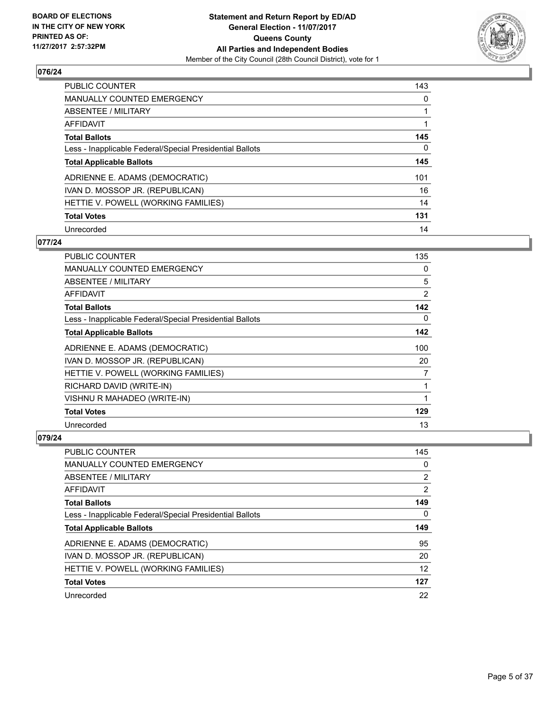

| <b>PUBLIC COUNTER</b>                                    | 143 |
|----------------------------------------------------------|-----|
| <b>MANUALLY COUNTED EMERGENCY</b>                        | 0   |
| ABSENTEE / MILITARY                                      |     |
| AFFIDAVIT                                                |     |
| <b>Total Ballots</b>                                     | 145 |
| Less - Inapplicable Federal/Special Presidential Ballots | 0   |
| <b>Total Applicable Ballots</b>                          | 145 |
| ADRIENNE E. ADAMS (DEMOCRATIC)                           | 101 |
| IVAN D. MOSSOP JR. (REPUBLICAN)                          | 16  |
| HETTIE V. POWELL (WORKING FAMILIES)                      | 14  |
| <b>Total Votes</b>                                       | 131 |
| Unrecorded                                               | 14  |

#### **077/24**

| PUBLIC COUNTER                                           | 135 |
|----------------------------------------------------------|-----|
| <b>MANUALLY COUNTED EMERGENCY</b>                        | 0   |
| ABSENTEE / MILITARY                                      | 5   |
| AFFIDAVIT                                                | 2   |
| <b>Total Ballots</b>                                     | 142 |
| Less - Inapplicable Federal/Special Presidential Ballots | 0   |
| <b>Total Applicable Ballots</b>                          | 142 |
| ADRIENNE E. ADAMS (DEMOCRATIC)                           | 100 |
| IVAN D. MOSSOP JR. (REPUBLICAN)                          | 20  |
| HETTIE V. POWELL (WORKING FAMILIES)                      | 7   |
| RICHARD DAVID (WRITE-IN)                                 | 1   |
| VISHNU R MAHADEO (WRITE-IN)                              | 1   |
| <b>Total Votes</b>                                       | 129 |
| Unrecorded                                               | 13  |

| <b>PUBLIC COUNTER</b>                                    | 145 |
|----------------------------------------------------------|-----|
| <b>MANUALLY COUNTED EMERGENCY</b>                        | 0   |
| ABSENTEE / MILITARY                                      | 2   |
| AFFIDAVIT                                                | 2   |
| <b>Total Ballots</b>                                     | 149 |
| Less - Inapplicable Federal/Special Presidential Ballots | 0   |
| <b>Total Applicable Ballots</b>                          | 149 |
| ADRIENNE E. ADAMS (DEMOCRATIC)                           | 95  |
|                                                          |     |
| IVAN D. MOSSOP JR. (REPUBLICAN)                          | 20  |
| HETTIE V. POWELL (WORKING FAMILIES)                      | 12  |
| <b>Total Votes</b>                                       | 127 |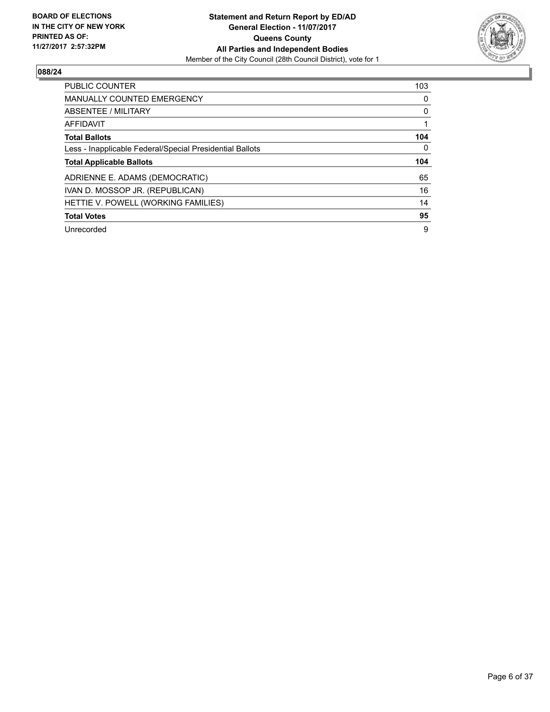

| <b>PUBLIC COUNTER</b>                                    | 103       |
|----------------------------------------------------------|-----------|
| <b>MANUALLY COUNTED EMERGENCY</b>                        | 0         |
| ABSENTEE / MILITARY                                      | 0         |
| <b>AFFIDAVIT</b>                                         |           |
| <b>Total Ballots</b>                                     | 104       |
| Less - Inapplicable Federal/Special Presidential Ballots | 0         |
|                                                          |           |
| <b>Total Applicable Ballots</b>                          |           |
| ADRIENNE E. ADAMS (DEMOCRATIC)                           | 104<br>65 |
| IVAN D. MOSSOP JR. (REPUBLICAN)                          | 16        |
| HETTIE V. POWELL (WORKING FAMILIES)                      | 14        |
| <b>Total Votes</b>                                       | 95        |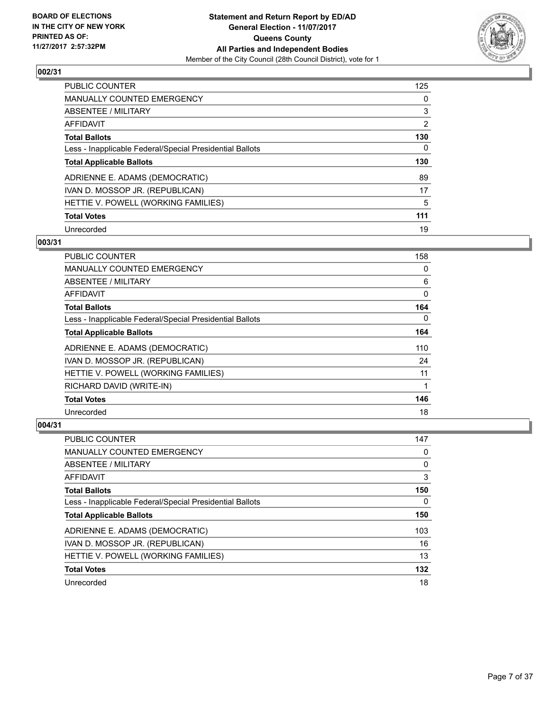

| <b>PUBLIC COUNTER</b>                                    | 125 |
|----------------------------------------------------------|-----|
| <b>MANUALLY COUNTED EMERGENCY</b>                        | 0   |
| ABSENTEE / MILITARY                                      | 3   |
| AFFIDAVIT                                                | 2   |
| <b>Total Ballots</b>                                     | 130 |
| Less - Inapplicable Federal/Special Presidential Ballots | 0   |
| <b>Total Applicable Ballots</b>                          | 130 |
| ADRIENNE E. ADAMS (DEMOCRATIC)                           | 89  |
| IVAN D. MOSSOP JR. (REPUBLICAN)                          | 17  |
| HETTIE V. POWELL (WORKING FAMILIES)                      | 5   |
| <b>Total Votes</b>                                       | 111 |
| Unrecorded                                               | 19  |

#### **003/31**

| PUBLIC COUNTER                                           | 158      |
|----------------------------------------------------------|----------|
| <b>MANUALLY COUNTED EMERGENCY</b>                        | 0        |
| ABSENTEE / MILITARY                                      | 6        |
| AFFIDAVIT                                                | 0        |
| <b>Total Ballots</b>                                     | 164      |
| Less - Inapplicable Federal/Special Presidential Ballots | $\Omega$ |
| <b>Total Applicable Ballots</b>                          | 164      |
| ADRIENNE E. ADAMS (DEMOCRATIC)                           | 110      |
| IVAN D. MOSSOP JR. (REPUBLICAN)                          | 24       |
| HETTIE V. POWELL (WORKING FAMILIES)                      | 11       |
| RICHARD DAVID (WRITE-IN)                                 | 1        |
| <b>Total Votes</b>                                       | 146      |
| Unrecorded                                               | 18       |

| <b>PUBLIC COUNTER</b>                                    | 147 |
|----------------------------------------------------------|-----|
| <b>MANUALLY COUNTED EMERGENCY</b>                        | 0   |
| ABSENTEE / MILITARY                                      | 0   |
| AFFIDAVIT                                                | 3   |
| <b>Total Ballots</b>                                     | 150 |
| Less - Inapplicable Federal/Special Presidential Ballots | 0   |
| <b>Total Applicable Ballots</b>                          | 150 |
| ADRIENNE E. ADAMS (DEMOCRATIC)                           | 103 |
| IVAN D. MOSSOP JR. (REPUBLICAN)                          | 16  |
| HETTIE V. POWELL (WORKING FAMILIES)                      | 13  |
| <b>Total Votes</b>                                       | 132 |
| Unrecorded                                               | 18  |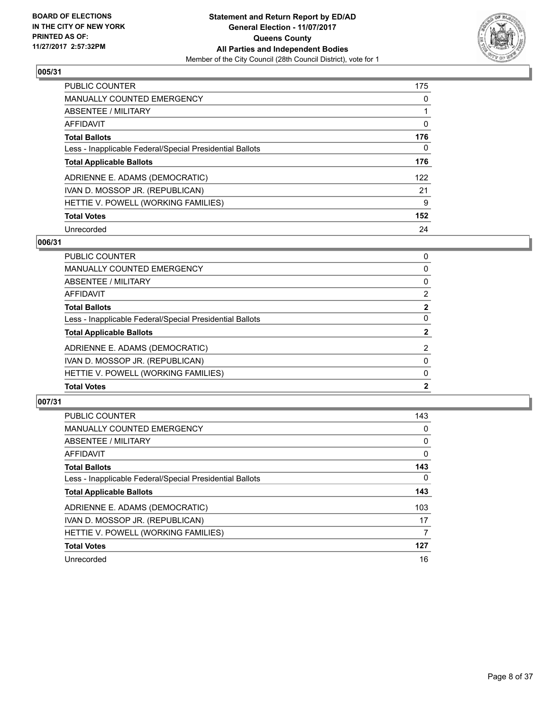

| <b>PUBLIC COUNTER</b>                                    | 175 |
|----------------------------------------------------------|-----|
| <b>MANUALLY COUNTED EMERGENCY</b>                        | 0   |
| ABSENTEE / MILITARY                                      |     |
| AFFIDAVIT                                                | 0   |
| <b>Total Ballots</b>                                     | 176 |
| Less - Inapplicable Federal/Special Presidential Ballots | 0   |
| <b>Total Applicable Ballots</b>                          | 176 |
| ADRIENNE E. ADAMS (DEMOCRATIC)                           | 122 |
| IVAN D. MOSSOP JR. (REPUBLICAN)                          | 21  |
| HETTIE V. POWELL (WORKING FAMILIES)                      | 9   |
| <b>Total Votes</b>                                       | 152 |
| Unrecorded                                               | 24  |

#### **006/31**

| PUBLIC COUNTER                                           | 0              |
|----------------------------------------------------------|----------------|
| <b>MANUALLY COUNTED EMERGENCY</b>                        | 0              |
| ABSENTEE / MILITARY                                      | 0              |
| AFFIDAVIT                                                | 2              |
| <b>Total Ballots</b>                                     | $\overline{2}$ |
| Less - Inapplicable Federal/Special Presidential Ballots | 0              |
| <b>Total Applicable Ballots</b>                          | $\mathbf{2}$   |
| ADRIENNE E. ADAMS (DEMOCRATIC)                           | $\overline{2}$ |
| IVAN D. MOSSOP JR. (REPUBLICAN)                          | $\Omega$       |
| HETTIE V. POWELL (WORKING FAMILIES)                      | 0              |
| <b>Total Votes</b>                                       | $\mathbf{2}$   |
|                                                          |                |

| <b>PUBLIC COUNTER</b>                                    | 143 |
|----------------------------------------------------------|-----|
| <b>MANUALLY COUNTED EMERGENCY</b>                        | 0   |
| ABSENTEE / MILITARY                                      | 0   |
| AFFIDAVIT                                                | 0   |
| <b>Total Ballots</b>                                     | 143 |
| Less - Inapplicable Federal/Special Presidential Ballots | 0   |
| <b>Total Applicable Ballots</b>                          | 143 |
| ADRIENNE E. ADAMS (DEMOCRATIC)                           | 103 |
| IVAN D. MOSSOP JR. (REPUBLICAN)                          | 17  |
| HETTIE V. POWELL (WORKING FAMILIES)                      | 7   |
| <b>Total Votes</b>                                       | 127 |
| Unrecorded                                               | 16  |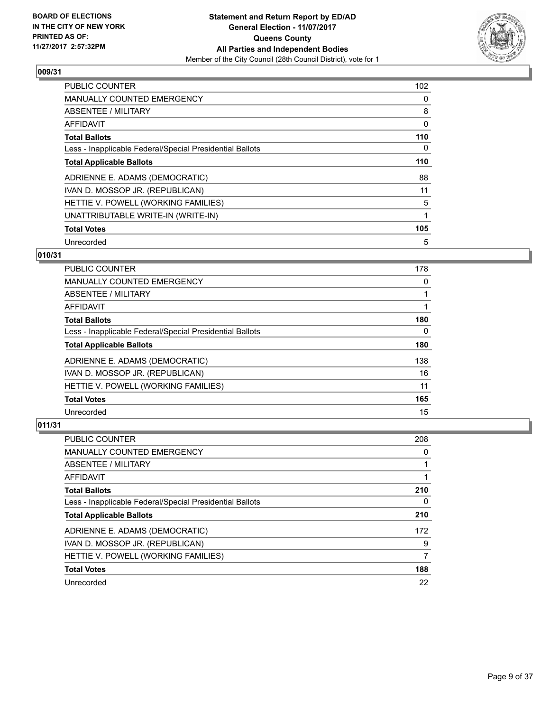

| <b>PUBLIC COUNTER</b>                                    | 102 |
|----------------------------------------------------------|-----|
| <b>MANUALLY COUNTED EMERGENCY</b>                        | 0   |
| ABSENTEE / MILITARY                                      | 8   |
| <b>AFFIDAVIT</b>                                         | 0   |
| <b>Total Ballots</b>                                     | 110 |
| Less - Inapplicable Federal/Special Presidential Ballots | 0   |
| <b>Total Applicable Ballots</b>                          | 110 |
| ADRIENNE E. ADAMS (DEMOCRATIC)                           | 88  |
| IVAN D. MOSSOP JR. (REPUBLICAN)                          | 11  |
| HETTIE V. POWELL (WORKING FAMILIES)                      | 5   |
| UNATTRIBUTABLE WRITE-IN (WRITE-IN)                       | 1   |
| <b>Total Votes</b>                                       | 105 |
| Unrecorded                                               | 5   |

## **010/31**

| <b>PUBLIC COUNTER</b>                                    | 178 |
|----------------------------------------------------------|-----|
| <b>MANUALLY COUNTED EMERGENCY</b>                        | 0   |
| ABSENTEE / MILITARY                                      |     |
| AFFIDAVIT                                                |     |
| <b>Total Ballots</b>                                     | 180 |
| Less - Inapplicable Federal/Special Presidential Ballots | 0   |
| <b>Total Applicable Ballots</b>                          | 180 |
| ADRIENNE E. ADAMS (DEMOCRATIC)                           | 138 |
| IVAN D. MOSSOP JR. (REPUBLICAN)                          | 16  |
| HETTIE V. POWELL (WORKING FAMILIES)                      | 11  |
| <b>Total Votes</b>                                       | 165 |
| Unrecorded                                               | 15  |

| <b>PUBLIC COUNTER</b>                                    | 208 |
|----------------------------------------------------------|-----|
| <b>MANUALLY COUNTED EMERGENCY</b>                        | 0   |
| ABSENTEE / MILITARY                                      |     |
| AFFIDAVIT                                                |     |
| <b>Total Ballots</b>                                     | 210 |
| Less - Inapplicable Federal/Special Presidential Ballots | 0   |
| <b>Total Applicable Ballots</b>                          | 210 |
| ADRIENNE E. ADAMS (DEMOCRATIC)                           | 172 |
| IVAN D. MOSSOP JR. (REPUBLICAN)                          | 9   |
| HETTIE V. POWELL (WORKING FAMILIES)                      |     |
| <b>Total Votes</b>                                       | 188 |
| Unrecorded                                               | 22  |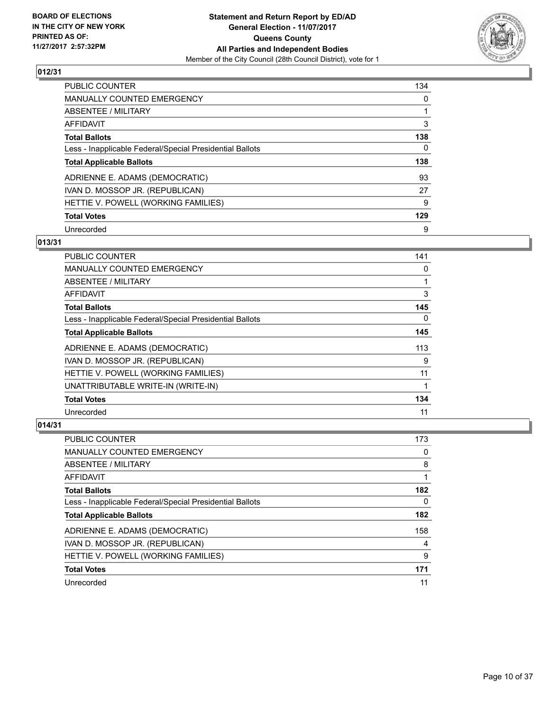

| <b>PUBLIC COUNTER</b>                                    | 134 |
|----------------------------------------------------------|-----|
| <b>MANUALLY COUNTED EMERGENCY</b>                        | 0   |
| ABSENTEE / MILITARY                                      |     |
| AFFIDAVIT                                                | 3   |
| <b>Total Ballots</b>                                     | 138 |
| Less - Inapplicable Federal/Special Presidential Ballots | 0   |
| <b>Total Applicable Ballots</b>                          | 138 |
| ADRIENNE E. ADAMS (DEMOCRATIC)                           | 93  |
| IVAN D. MOSSOP JR. (REPUBLICAN)                          | 27  |
| HETTIE V. POWELL (WORKING FAMILIES)                      | 9   |
| <b>Total Votes</b>                                       | 129 |
| Unrecorded                                               | 9   |

## **013/31**

| <b>PUBLIC COUNTER</b>                                    | 141 |
|----------------------------------------------------------|-----|
| <b>MANUALLY COUNTED EMERGENCY</b>                        | 0   |
| ABSENTEE / MILITARY                                      |     |
| AFFIDAVIT                                                | 3   |
| <b>Total Ballots</b>                                     | 145 |
| Less - Inapplicable Federal/Special Presidential Ballots | 0   |
| <b>Total Applicable Ballots</b>                          | 145 |
| ADRIENNE E. ADAMS (DEMOCRATIC)                           | 113 |
| IVAN D. MOSSOP JR. (REPUBLICAN)                          | 9   |
| HETTIE V. POWELL (WORKING FAMILIES)                      | 11  |
| UNATTRIBUTABLE WRITE-IN (WRITE-IN)                       |     |
| <b>Total Votes</b>                                       | 134 |
| Unrecorded                                               | 11  |

| <b>PUBLIC COUNTER</b>                                    | 173 |
|----------------------------------------------------------|-----|
| <b>MANUALLY COUNTED EMERGENCY</b>                        | 0   |
| ABSENTEE / MILITARY                                      | 8   |
| AFFIDAVIT                                                |     |
| <b>Total Ballots</b>                                     | 182 |
| Less - Inapplicable Federal/Special Presidential Ballots | 0   |
| <b>Total Applicable Ballots</b>                          | 182 |
| ADRIENNE E. ADAMS (DEMOCRATIC)                           | 158 |
| IVAN D. MOSSOP JR. (REPUBLICAN)                          | 4   |
| HETTIE V. POWELL (WORKING FAMILIES)                      | 9   |
| <b>Total Votes</b>                                       | 171 |
| Unrecorded                                               | 11  |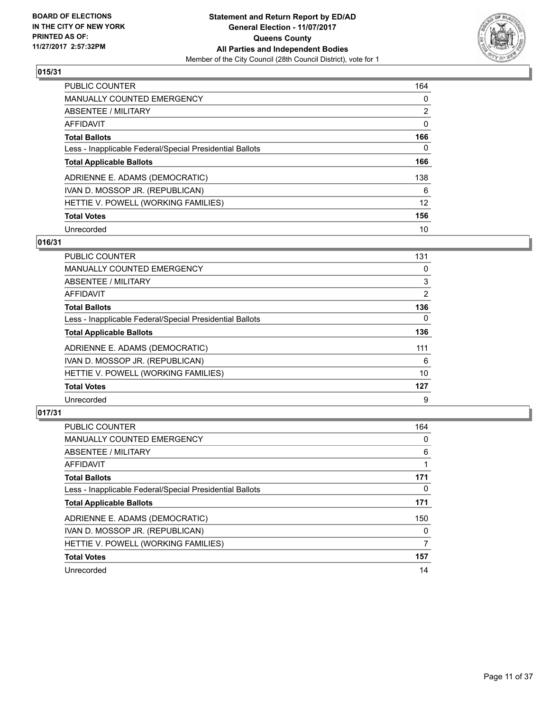

| <b>PUBLIC COUNTER</b>                                    | 164            |
|----------------------------------------------------------|----------------|
| <b>MANUALLY COUNTED EMERGENCY</b>                        | 0              |
| ABSENTEE / MILITARY                                      | $\overline{2}$ |
| AFFIDAVIT                                                | 0              |
| <b>Total Ballots</b>                                     | 166            |
| Less - Inapplicable Federal/Special Presidential Ballots | 0              |
| <b>Total Applicable Ballots</b>                          | 166            |
| ADRIENNE E. ADAMS (DEMOCRATIC)                           | 138            |
| IVAN D. MOSSOP JR. (REPUBLICAN)                          | 6              |
| HETTIE V. POWELL (WORKING FAMILIES)                      | 12             |
| <b>Total Votes</b>                                       | 156            |
| Unrecorded                                               | 10             |

#### **016/31**

| PUBLIC COUNTER                                           | 131            |
|----------------------------------------------------------|----------------|
| <b>MANUALLY COUNTED EMERGENCY</b>                        | 0              |
| ABSENTEE / MILITARY                                      | 3              |
| <b>AFFIDAVIT</b>                                         | $\overline{2}$ |
| <b>Total Ballots</b>                                     | 136            |
| Less - Inapplicable Federal/Special Presidential Ballots | $\Omega$       |
| <b>Total Applicable Ballots</b>                          | 136            |
| ADRIENNE E. ADAMS (DEMOCRATIC)                           | 111            |
| IVAN D. MOSSOP JR. (REPUBLICAN)                          | 6              |
| HETTIE V. POWELL (WORKING FAMILIES)                      | 10             |
| <b>Total Votes</b>                                       | 127            |
| Unrecorded                                               | 9              |

| <b>PUBLIC COUNTER</b>                                    | 164 |
|----------------------------------------------------------|-----|
| <b>MANUALLY COUNTED EMERGENCY</b>                        | 0   |
| ABSENTEE / MILITARY                                      | 6   |
| AFFIDAVIT                                                |     |
| <b>Total Ballots</b>                                     | 171 |
| Less - Inapplicable Federal/Special Presidential Ballots | 0   |
| <b>Total Applicable Ballots</b>                          | 171 |
| ADRIENNE E. ADAMS (DEMOCRATIC)                           | 150 |
| IVAN D. MOSSOP JR. (REPUBLICAN)                          | 0   |
| HETTIE V. POWELL (WORKING FAMILIES)                      | 7   |
| <b>Total Votes</b>                                       | 157 |
| Unrecorded                                               | 14  |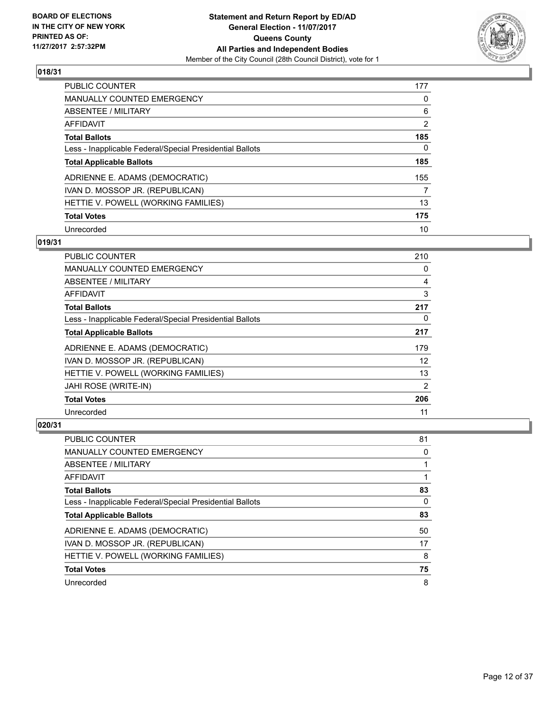

| <b>PUBLIC COUNTER</b>                                    | 177            |
|----------------------------------------------------------|----------------|
| <b>MANUALLY COUNTED EMERGENCY</b>                        | 0              |
| ABSENTEE / MILITARY                                      | 6              |
| AFFIDAVIT                                                | $\overline{2}$ |
| <b>Total Ballots</b>                                     | 185            |
| Less - Inapplicable Federal/Special Presidential Ballots | 0              |
| <b>Total Applicable Ballots</b>                          | 185            |
| ADRIENNE E. ADAMS (DEMOCRATIC)                           | 155            |
| IVAN D. MOSSOP JR. (REPUBLICAN)                          | 7              |
| HETTIE V. POWELL (WORKING FAMILIES)                      | 13             |
| <b>Total Votes</b>                                       | 175            |
| Unrecorded                                               | 10             |

#### **019/31**

| <b>PUBLIC COUNTER</b>                                    | 210 |
|----------------------------------------------------------|-----|
| <b>MANUALLY COUNTED EMERGENCY</b>                        | 0   |
| ABSENTEE / MILITARY                                      | 4   |
| AFFIDAVIT                                                | 3   |
| <b>Total Ballots</b>                                     | 217 |
| Less - Inapplicable Federal/Special Presidential Ballots | 0   |
| <b>Total Applicable Ballots</b>                          | 217 |
| ADRIENNE E. ADAMS (DEMOCRATIC)                           | 179 |
| IVAN D. MOSSOP JR. (REPUBLICAN)                          | 12  |
| HETTIE V. POWELL (WORKING FAMILIES)                      | 13  |
| JAHI ROSE (WRITE-IN)                                     | 2   |
| <b>Total Votes</b>                                       | 206 |
| Unrecorded                                               | 11  |

| <b>PUBLIC COUNTER</b>                                    | 81 |
|----------------------------------------------------------|----|
| <b>MANUALLY COUNTED EMERGENCY</b>                        | 0  |
| ABSENTEE / MILITARY                                      |    |
| AFFIDAVIT                                                |    |
| <b>Total Ballots</b>                                     | 83 |
| Less - Inapplicable Federal/Special Presidential Ballots | 0  |
| <b>Total Applicable Ballots</b>                          | 83 |
| ADRIENNE E. ADAMS (DEMOCRATIC)                           | 50 |
| IVAN D. MOSSOP JR. (REPUBLICAN)                          | 17 |
| HETTIE V. POWELL (WORKING FAMILIES)                      | 8  |
| <b>Total Votes</b>                                       | 75 |
|                                                          |    |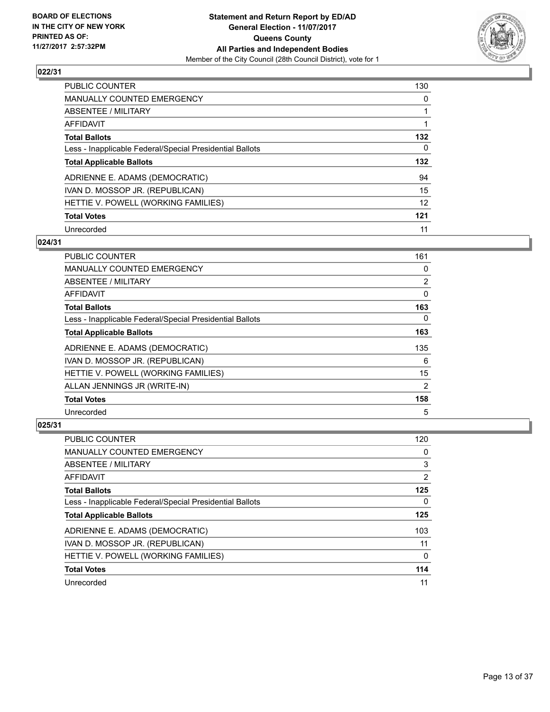

| <b>PUBLIC COUNTER</b>                                    | 130 |
|----------------------------------------------------------|-----|
| <b>MANUALLY COUNTED EMERGENCY</b>                        | 0   |
| ABSENTEE / MILITARY                                      |     |
| AFFIDAVIT                                                |     |
| <b>Total Ballots</b>                                     | 132 |
| Less - Inapplicable Federal/Special Presidential Ballots | 0   |
| <b>Total Applicable Ballots</b>                          | 132 |
| ADRIENNE E. ADAMS (DEMOCRATIC)                           | 94  |
| IVAN D. MOSSOP JR. (REPUBLICAN)                          | 15  |
| HETTIE V. POWELL (WORKING FAMILIES)                      | 12  |
| <b>Total Votes</b>                                       | 121 |
| Unrecorded                                               | 11  |

#### **024/31**

| <b>PUBLIC COUNTER</b>                                    | 161            |
|----------------------------------------------------------|----------------|
| <b>MANUALLY COUNTED EMERGENCY</b>                        | 0              |
| ABSENTEE / MILITARY                                      | $\overline{2}$ |
| AFFIDAVIT                                                | 0              |
| <b>Total Ballots</b>                                     | 163            |
| Less - Inapplicable Federal/Special Presidential Ballots | $\Omega$       |
| <b>Total Applicable Ballots</b>                          | 163            |
| ADRIENNE E. ADAMS (DEMOCRATIC)                           | 135            |
| IVAN D. MOSSOP JR. (REPUBLICAN)                          | 6              |
| HETTIE V. POWELL (WORKING FAMILIES)                      | 15             |
| ALLAN JENNINGS JR (WRITE-IN)                             | 2              |
| <b>Total Votes</b>                                       | 158            |
| Unrecorded                                               | 5              |

| PUBLIC COUNTER                                           | 120 |
|----------------------------------------------------------|-----|
| <b>MANUALLY COUNTED EMERGENCY</b>                        | 0   |
| ABSENTEE / MILITARY                                      | 3   |
| AFFIDAVIT                                                | 2   |
| <b>Total Ballots</b>                                     | 125 |
| Less - Inapplicable Federal/Special Presidential Ballots | 0   |
| <b>Total Applicable Ballots</b>                          | 125 |
| ADRIENNE E. ADAMS (DEMOCRATIC)                           | 103 |
| IVAN D. MOSSOP JR. (REPUBLICAN)                          | 11  |
| HETTIE V. POWELL (WORKING FAMILIES)                      | 0   |
| <b>Total Votes</b>                                       | 114 |
| Unrecorded                                               | 11  |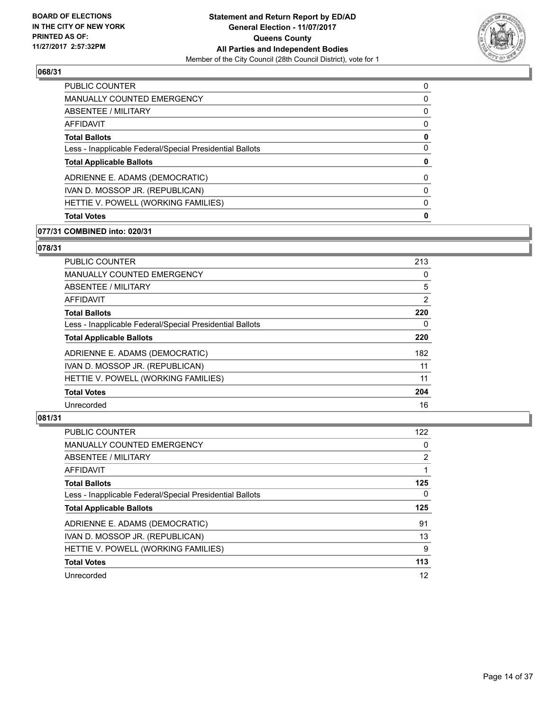

| <b>PUBLIC COUNTER</b>                                    | 0 |
|----------------------------------------------------------|---|
| MANUALLY COUNTED EMERGENCY                               | 0 |
| ABSENTEE / MILITARY                                      | 0 |
| AFFIDAVIT                                                | 0 |
| <b>Total Ballots</b>                                     | 0 |
| Less - Inapplicable Federal/Special Presidential Ballots | 0 |
| <b>Total Applicable Ballots</b>                          | 0 |
| ADRIENNE E. ADAMS (DEMOCRATIC)                           | 0 |
| IVAN D. MOSSOP JR. (REPUBLICAN)                          | 0 |
| HETTIE V. POWELL (WORKING FAMILIES)                      | 0 |
| <b>Total Votes</b>                                       | 0 |
|                                                          |   |

#### **077/31 COMBINED into: 020/31**

## **078/31**

| <b>PUBLIC COUNTER</b>                                    | 213 |
|----------------------------------------------------------|-----|
| <b>MANUALLY COUNTED EMERGENCY</b>                        | 0   |
| ABSENTEE / MILITARY                                      | 5   |
| AFFIDAVIT                                                | 2   |
| <b>Total Ballots</b>                                     | 220 |
| Less - Inapplicable Federal/Special Presidential Ballots | 0   |
| <b>Total Applicable Ballots</b>                          | 220 |
| ADRIENNE E. ADAMS (DEMOCRATIC)                           | 182 |
| IVAN D. MOSSOP JR. (REPUBLICAN)                          | 11  |
| HETTIE V. POWELL (WORKING FAMILIES)                      | 11  |
| <b>Total Votes</b>                                       | 204 |
| Unrecorded                                               | 16  |

| <b>PUBLIC COUNTER</b>                                    | 122 |
|----------------------------------------------------------|-----|
| <b>MANUALLY COUNTED EMERGENCY</b>                        | 0   |
| ABSENTEE / MILITARY                                      | 2   |
| AFFIDAVIT                                                |     |
| <b>Total Ballots</b>                                     | 125 |
| Less - Inapplicable Federal/Special Presidential Ballots | 0   |
| <b>Total Applicable Ballots</b>                          | 125 |
| ADRIENNE E. ADAMS (DEMOCRATIC)                           | 91  |
|                                                          |     |
| IVAN D. MOSSOP JR. (REPUBLICAN)                          | 13  |
| HETTIE V. POWELL (WORKING FAMILIES)                      | 9   |
| <b>Total Votes</b>                                       | 113 |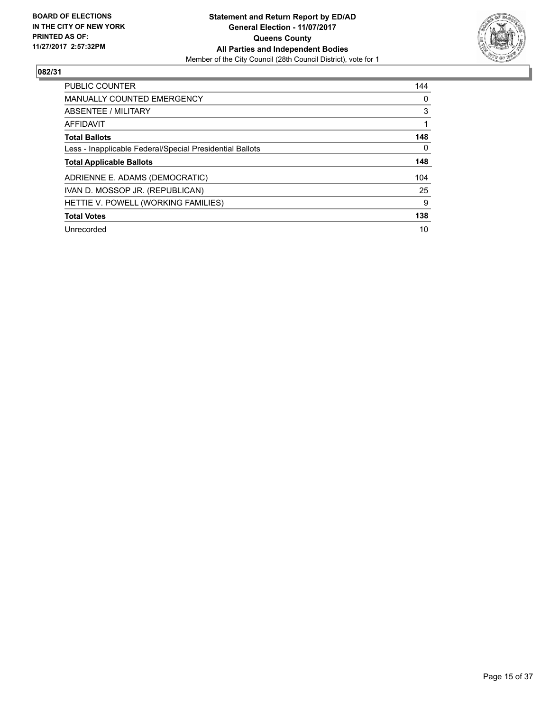

| <b>PUBLIC COUNTER</b>                                    | 144 |
|----------------------------------------------------------|-----|
| <b>MANUALLY COUNTED EMERGENCY</b>                        | 0   |
| <b>ABSENTEE / MILITARY</b>                               | 3   |
| <b>AFFIDAVIT</b>                                         |     |
| <b>Total Ballots</b>                                     | 148 |
| Less - Inapplicable Federal/Special Presidential Ballots | 0   |
| <b>Total Applicable Ballots</b>                          | 148 |
| ADRIENNE E. ADAMS (DEMOCRATIC)                           | 104 |
| IVAN D. MOSSOP JR. (REPUBLICAN)                          | 25  |
| HETTIE V. POWELL (WORKING FAMILIES)                      | 9   |
| <b>Total Votes</b>                                       | 138 |
| Unrecorded                                               | 10  |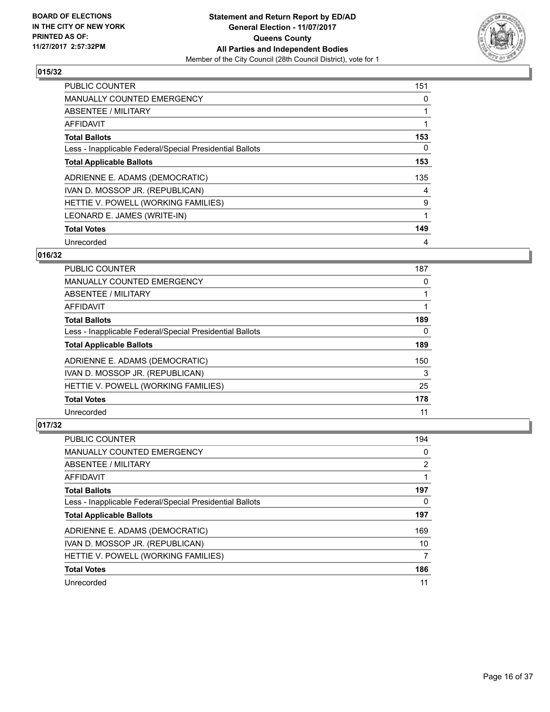

| <b>PUBLIC COUNTER</b>                                    | 151 |
|----------------------------------------------------------|-----|
| <b>MANUALLY COUNTED EMERGENCY</b>                        | 0   |
| ABSENTEE / MILITARY                                      | 1   |
| <b>AFFIDAVIT</b>                                         |     |
| <b>Total Ballots</b>                                     | 153 |
| Less - Inapplicable Federal/Special Presidential Ballots | 0   |
| <b>Total Applicable Ballots</b>                          | 153 |
| ADRIENNE E. ADAMS (DEMOCRATIC)                           | 135 |
| IVAN D. MOSSOP JR. (REPUBLICAN)                          | 4   |
| HETTIE V. POWELL (WORKING FAMILIES)                      | 9   |
| LEONARD E. JAMES (WRITE-IN)                              | 1   |
| <b>Total Votes</b>                                       | 149 |
| Unrecorded                                               | 4   |

## **016/32**

| <b>PUBLIC COUNTER</b>                                    | 187 |
|----------------------------------------------------------|-----|
| <b>MANUALLY COUNTED EMERGENCY</b>                        | 0   |
| ABSENTEE / MILITARY                                      |     |
| <b>AFFIDAVIT</b>                                         |     |
| <b>Total Ballots</b>                                     | 189 |
| Less - Inapplicable Federal/Special Presidential Ballots | 0   |
| <b>Total Applicable Ballots</b>                          | 189 |
| ADRIENNE E. ADAMS (DEMOCRATIC)                           | 150 |
| IVAN D. MOSSOP JR. (REPUBLICAN)                          | 3   |
| HETTIE V. POWELL (WORKING FAMILIES)                      | 25  |
| <b>Total Votes</b>                                       | 178 |
| Unrecorded                                               | 11  |

| PUBLIC COUNTER                                           | 194 |
|----------------------------------------------------------|-----|
| <b>MANUALLY COUNTED EMERGENCY</b>                        | 0   |
| ABSENTEE / MILITARY                                      | 2   |
| AFFIDAVIT                                                |     |
| <b>Total Ballots</b>                                     | 197 |
| Less - Inapplicable Federal/Special Presidential Ballots | 0   |
| <b>Total Applicable Ballots</b>                          | 197 |
| ADRIENNE E. ADAMS (DEMOCRATIC)                           | 169 |
| IVAN D. MOSSOP JR. (REPUBLICAN)                          | 10  |
| HETTIE V. POWELL (WORKING FAMILIES)                      | 7   |
| <b>Total Votes</b>                                       | 186 |
| Unrecorded                                               | 11  |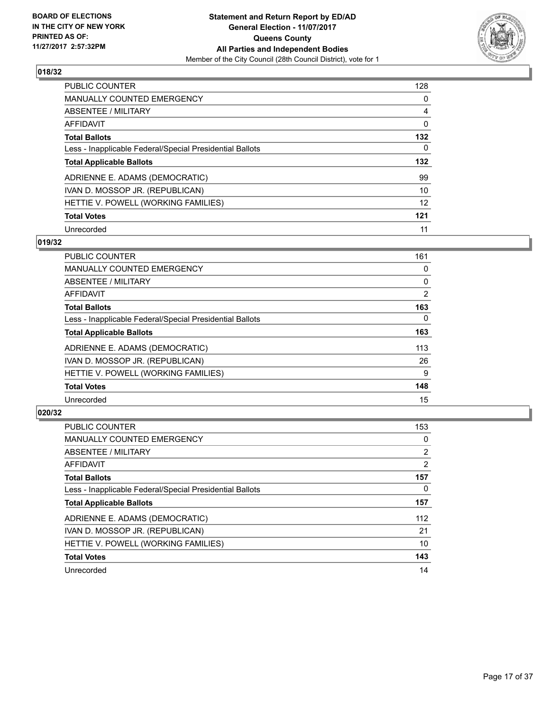

| <b>PUBLIC COUNTER</b>                                    | 128       |
|----------------------------------------------------------|-----------|
| <b>MANUALLY COUNTED EMERGENCY</b>                        | 0         |
| ABSENTEE / MILITARY                                      | 4         |
| AFFIDAVIT                                                | 0         |
| <b>Total Ballots</b>                                     | 132       |
| Less - Inapplicable Federal/Special Presidential Ballots | 0         |
|                                                          |           |
| <b>Total Applicable Ballots</b>                          |           |
| ADRIENNE E. ADAMS (DEMOCRATIC)                           | 132<br>99 |
| IVAN D. MOSSOP JR. (REPUBLICAN)                          | 10        |
| HETTIE V. POWELL (WORKING FAMILIES)                      | 12        |
| <b>Total Votes</b>                                       | 121       |

# **019/32**

| <b>PUBLIC COUNTER</b>                                    | 161      |
|----------------------------------------------------------|----------|
| <b>MANUALLY COUNTED EMERGENCY</b>                        | 0        |
| ABSENTEE / MILITARY                                      | 0        |
| <b>AFFIDAVIT</b>                                         | 2        |
| <b>Total Ballots</b>                                     | 163      |
| Less - Inapplicable Federal/Special Presidential Ballots | $\Omega$ |
| <b>Total Applicable Ballots</b>                          | 163      |
| ADRIENNE E. ADAMS (DEMOCRATIC)                           | 113      |
| IVAN D. MOSSOP JR. (REPUBLICAN)                          | 26       |
| HETTIE V. POWELL (WORKING FAMILIES)                      | 9        |
| <b>Total Votes</b>                                       | 148      |
| Unrecorded                                               | 15       |

| <b>PUBLIC COUNTER</b>                                    | 153            |
|----------------------------------------------------------|----------------|
| MANUALLY COUNTED EMERGENCY                               | 0              |
| ABSENTEE / MILITARY                                      | $\overline{2}$ |
| <b>AFFIDAVIT</b>                                         | $\overline{2}$ |
| <b>Total Ballots</b>                                     | 157            |
| Less - Inapplicable Federal/Special Presidential Ballots | 0              |
| <b>Total Applicable Ballots</b>                          | 157            |
| ADRIENNE E. ADAMS (DEMOCRATIC)                           | 112            |
| IVAN D. MOSSOP JR. (REPUBLICAN)                          | 21             |
| HETTIE V. POWELL (WORKING FAMILIES)                      | 10             |
| <b>Total Votes</b>                                       | 143            |
|                                                          |                |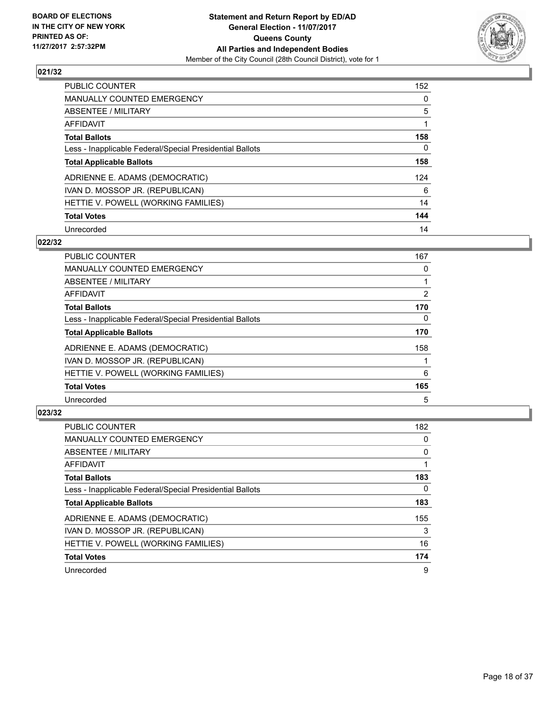

| <b>PUBLIC COUNTER</b>                                    | 152 |
|----------------------------------------------------------|-----|
| MANUALLY COUNTED EMERGENCY                               | 0   |
| ABSENTEE / MILITARY                                      | 5   |
| <b>AFFIDAVIT</b>                                         |     |
| <b>Total Ballots</b>                                     | 158 |
| Less - Inapplicable Federal/Special Presidential Ballots | 0   |
| <b>Total Applicable Ballots</b>                          | 158 |
| ADRIENNE E. ADAMS (DEMOCRATIC)                           | 124 |
| IVAN D. MOSSOP JR. (REPUBLICAN)                          | 6   |
| HETTIE V. POWELL (WORKING FAMILIES)                      | 14  |
| <b>Total Votes</b>                                       | 144 |
| Unrecorded                                               | 14  |

#### **022/32**

| <b>PUBLIC COUNTER</b>                                    | 167            |
|----------------------------------------------------------|----------------|
| MANUALLY COUNTED EMERGENCY                               | 0              |
| ABSENTEE / MILITARY                                      |                |
| AFFIDAVIT                                                | $\overline{2}$ |
| <b>Total Ballots</b>                                     | 170            |
| Less - Inapplicable Federal/Special Presidential Ballots | $\Omega$       |
| <b>Total Applicable Ballots</b>                          | 170            |
| ADRIENNE E. ADAMS (DEMOCRATIC)                           | 158            |
| IVAN D. MOSSOP JR. (REPUBLICAN)                          |                |
| HETTIE V. POWELL (WORKING FAMILIES)                      | 6              |
| <b>Total Votes</b>                                       | 165            |
| Unrecorded                                               | 5              |

| <b>PUBLIC COUNTER</b>                                    | 182 |
|----------------------------------------------------------|-----|
| <b>MANUALLY COUNTED EMERGENCY</b>                        | 0   |
| ABSENTEE / MILITARY                                      | 0   |
| AFFIDAVIT                                                |     |
| <b>Total Ballots</b>                                     | 183 |
| Less - Inapplicable Federal/Special Presidential Ballots | 0   |
| <b>Total Applicable Ballots</b>                          | 183 |
| ADRIENNE E. ADAMS (DEMOCRATIC)                           | 155 |
| IVAN D. MOSSOP JR. (REPUBLICAN)                          | 3   |
| HETTIE V. POWELL (WORKING FAMILIES)                      | 16  |
| <b>Total Votes</b>                                       | 174 |
| Unrecorded                                               | 9   |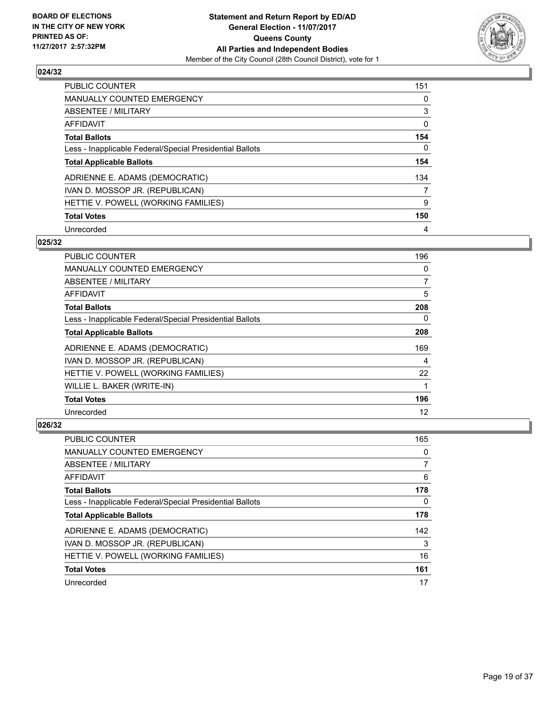

| <b>PUBLIC COUNTER</b>                                    | 151 |
|----------------------------------------------------------|-----|
| MANUALLY COUNTED EMERGENCY                               | 0   |
| ABSENTEE / MILITARY                                      | 3   |
| AFFIDAVIT                                                | 0   |
| <b>Total Ballots</b>                                     | 154 |
| Less - Inapplicable Federal/Special Presidential Ballots | 0   |
| <b>Total Applicable Ballots</b>                          | 154 |
| ADRIENNE E. ADAMS (DEMOCRATIC)                           | 134 |
| IVAN D. MOSSOP JR. (REPUBLICAN)                          | 7   |
| HETTIE V. POWELL (WORKING FAMILIES)                      | 9   |
| <b>Total Votes</b>                                       | 150 |
| Unrecorded                                               | 4   |

#### **025/32**

| <b>PUBLIC COUNTER</b>                                    | 196 |
|----------------------------------------------------------|-----|
| <b>MANUALLY COUNTED EMERGENCY</b>                        | 0   |
| ABSENTEE / MILITARY                                      | 7   |
| <b>AFFIDAVIT</b>                                         | 5   |
| <b>Total Ballots</b>                                     | 208 |
| Less - Inapplicable Federal/Special Presidential Ballots | 0   |
| <b>Total Applicable Ballots</b>                          | 208 |
| ADRIENNE E. ADAMS (DEMOCRATIC)                           | 169 |
| IVAN D. MOSSOP JR. (REPUBLICAN)                          | 4   |
| HETTIE V. POWELL (WORKING FAMILIES)                      | 22  |
| WILLIE L. BAKER (WRITE-IN)                               |     |
| <b>Total Votes</b>                                       | 196 |
| Unrecorded                                               | 12  |

| PUBLIC COUNTER                                           | 165 |
|----------------------------------------------------------|-----|
| <b>MANUALLY COUNTED EMERGENCY</b>                        | 0   |
| ABSENTEE / MILITARY                                      | 7   |
| AFFIDAVIT                                                | 6   |
| <b>Total Ballots</b>                                     | 178 |
| Less - Inapplicable Federal/Special Presidential Ballots | 0   |
| <b>Total Applicable Ballots</b>                          | 178 |
| ADRIENNE E. ADAMS (DEMOCRATIC)                           | 142 |
| IVAN D. MOSSOP JR. (REPUBLICAN)                          | 3   |
| HETTIE V. POWELL (WORKING FAMILIES)                      | 16  |
| <b>Total Votes</b>                                       | 161 |
| Unrecorded                                               | 17  |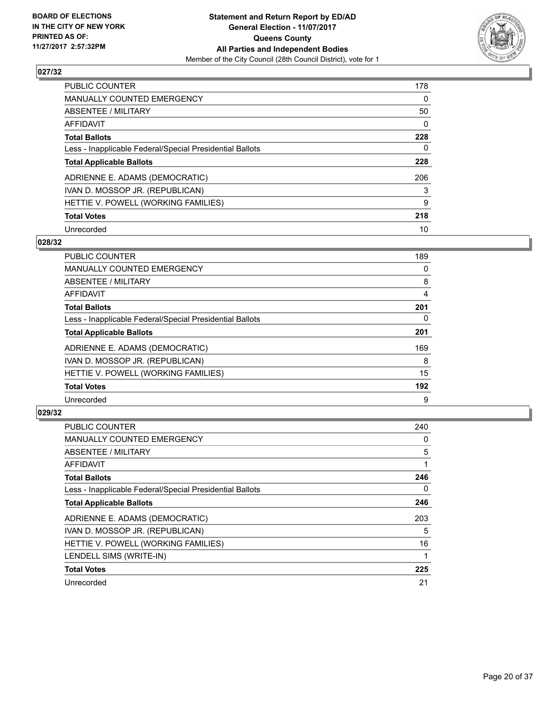

| <b>PUBLIC COUNTER</b>                                    | 178 |
|----------------------------------------------------------|-----|
| <b>MANUALLY COUNTED EMERGENCY</b>                        | 0   |
| ABSENTEE / MILITARY                                      | 50  |
| AFFIDAVIT                                                | 0   |
| <b>Total Ballots</b>                                     | 228 |
| Less - Inapplicable Federal/Special Presidential Ballots | 0   |
| <b>Total Applicable Ballots</b>                          | 228 |
| ADRIENNE E. ADAMS (DEMOCRATIC)                           | 206 |
| IVAN D. MOSSOP JR. (REPUBLICAN)                          | 3   |
| HETTIE V. POWELL (WORKING FAMILIES)                      | 9   |
| <b>Total Votes</b>                                       | 218 |
| Unrecorded                                               | 10  |

#### **028/32**

| <b>PUBLIC COUNTER</b>                                    | 189 |
|----------------------------------------------------------|-----|
| <b>MANUALLY COUNTED EMERGENCY</b>                        | 0   |
| ABSENTEE / MILITARY                                      | 8   |
| <b>AFFIDAVIT</b>                                         | 4   |
| <b>Total Ballots</b>                                     | 201 |
| Less - Inapplicable Federal/Special Presidential Ballots | 0   |
| <b>Total Applicable Ballots</b>                          | 201 |
| ADRIENNE E. ADAMS (DEMOCRATIC)                           | 169 |
| IVAN D. MOSSOP JR. (REPUBLICAN)                          | 8   |
| HETTIE V. POWELL (WORKING FAMILIES)                      | 15  |
| <b>Total Votes</b>                                       | 192 |
| Unrecorded                                               | 9   |

| <b>PUBLIC COUNTER</b>                                    | 240 |
|----------------------------------------------------------|-----|
| <b>MANUALLY COUNTED EMERGENCY</b>                        | 0   |
| ABSENTEE / MILITARY                                      | 5   |
| AFFIDAVIT                                                | 1   |
| <b>Total Ballots</b>                                     | 246 |
| Less - Inapplicable Federal/Special Presidential Ballots | 0   |
| <b>Total Applicable Ballots</b>                          | 246 |
| ADRIENNE E. ADAMS (DEMOCRATIC)                           | 203 |
| IVAN D. MOSSOP JR. (REPUBLICAN)                          | 5   |
| HETTIE V. POWELL (WORKING FAMILIES)                      | 16  |
| LENDELL SIMS (WRITE-IN)                                  |     |
| <b>Total Votes</b>                                       | 225 |
| Unrecorded                                               | 21  |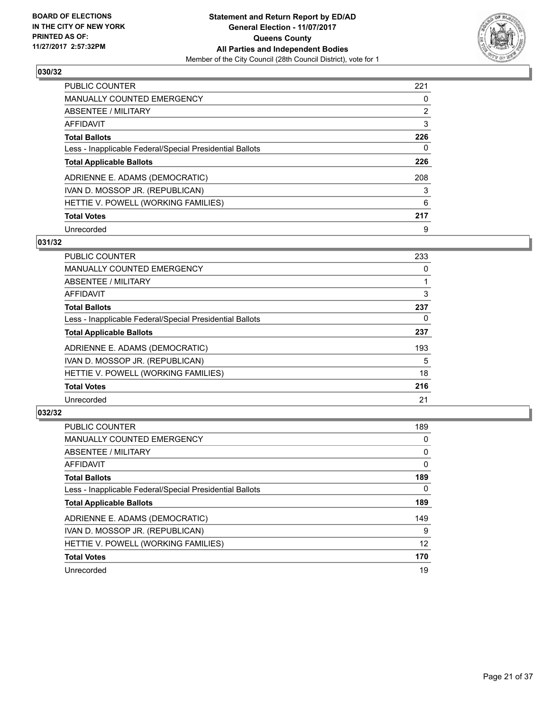

| <b>PUBLIC COUNTER</b>                                    | 221 |
|----------------------------------------------------------|-----|
| MANUALLY COUNTED EMERGENCY                               | 0   |
| ABSENTEE / MILITARY                                      | 2   |
| AFFIDAVIT                                                | 3   |
| <b>Total Ballots</b>                                     | 226 |
| Less - Inapplicable Federal/Special Presidential Ballots | 0   |
| <b>Total Applicable Ballots</b>                          | 226 |
|                                                          |     |
| ADRIENNE E. ADAMS (DEMOCRATIC)                           | 208 |
| IVAN D. MOSSOP JR. (REPUBLICAN)                          | 3   |
| HETTIE V. POWELL (WORKING FAMILIES)                      | 6   |
| <b>Total Votes</b>                                       | 217 |

#### **031/32**

| <b>PUBLIC COUNTER</b>                                    | 233 |
|----------------------------------------------------------|-----|
| <b>MANUALLY COUNTED EMERGENCY</b>                        | 0   |
| ABSENTEE / MILITARY                                      |     |
| <b>AFFIDAVIT</b>                                         | 3   |
| <b>Total Ballots</b>                                     | 237 |
| Less - Inapplicable Federal/Special Presidential Ballots | 0   |
| <b>Total Applicable Ballots</b>                          | 237 |
| ADRIENNE E. ADAMS (DEMOCRATIC)                           | 193 |
| IVAN D. MOSSOP JR. (REPUBLICAN)                          | 5   |
| HETTIE V. POWELL (WORKING FAMILIES)                      | 18  |
| <b>Total Votes</b>                                       | 216 |
| Unrecorded                                               | 21  |

| <b>PUBLIC COUNTER</b>                                    | 189 |
|----------------------------------------------------------|-----|
| <b>MANUALLY COUNTED EMERGENCY</b>                        | 0   |
| ABSENTEE / MILITARY                                      | 0   |
| AFFIDAVIT                                                | 0   |
| <b>Total Ballots</b>                                     | 189 |
| Less - Inapplicable Federal/Special Presidential Ballots | 0   |
| <b>Total Applicable Ballots</b>                          | 189 |
| ADRIENNE E. ADAMS (DEMOCRATIC)                           | 149 |
| IVAN D. MOSSOP JR. (REPUBLICAN)                          | 9   |
| HETTIE V. POWELL (WORKING FAMILIES)                      | 12  |
| <b>Total Votes</b>                                       | 170 |
| Unrecorded                                               | 19  |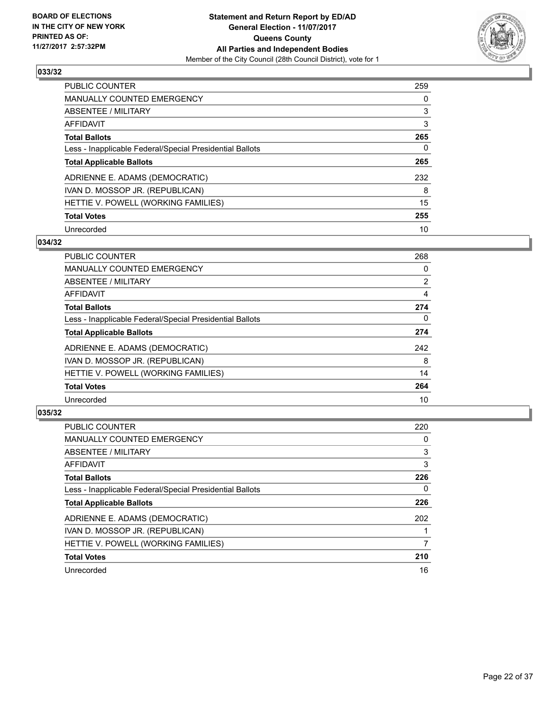

| <b>PUBLIC COUNTER</b>                                    | 259 |
|----------------------------------------------------------|-----|
| MANUALLY COUNTED EMERGENCY                               | 0   |
| ABSENTEE / MILITARY                                      | 3   |
| AFFIDAVIT                                                | 3   |
| <b>Total Ballots</b>                                     | 265 |
| Less - Inapplicable Federal/Special Presidential Ballots | 0   |
| <b>Total Applicable Ballots</b>                          | 265 |
| ADRIENNE E. ADAMS (DEMOCRATIC)                           | 232 |
| IVAN D. MOSSOP JR. (REPUBLICAN)                          | 8   |
| HETTIE V. POWELL (WORKING FAMILIES)                      | 15  |
| <b>Total Votes</b>                                       | 255 |
| Unrecorded                                               | 10  |

# **034/32**

| <b>PUBLIC COUNTER</b>                                    | 268            |
|----------------------------------------------------------|----------------|
| MANUALLY COUNTED EMERGENCY                               | 0              |
| ABSENTEE / MILITARY                                      | $\overline{2}$ |
| <b>AFFIDAVIT</b>                                         | 4              |
| <b>Total Ballots</b>                                     | 274            |
| Less - Inapplicable Federal/Special Presidential Ballots | $\Omega$       |
| <b>Total Applicable Ballots</b>                          | 274            |
| ADRIENNE E. ADAMS (DEMOCRATIC)                           | 242            |
| IVAN D. MOSSOP JR. (REPUBLICAN)                          | 8              |
| HETTIE V. POWELL (WORKING FAMILIES)                      | 14             |
| <b>Total Votes</b>                                       | 264            |
| Unrecorded                                               | 10             |

| <b>PUBLIC COUNTER</b>                                    | 220 |
|----------------------------------------------------------|-----|
| <b>MANUALLY COUNTED EMERGENCY</b>                        | 0   |
| ABSENTEE / MILITARY                                      | 3   |
| AFFIDAVIT                                                | 3   |
| <b>Total Ballots</b>                                     | 226 |
| Less - Inapplicable Federal/Special Presidential Ballots | 0   |
| <b>Total Applicable Ballots</b>                          | 226 |
| ADRIENNE E. ADAMS (DEMOCRATIC)                           | 202 |
| IVAN D. MOSSOP JR. (REPUBLICAN)                          |     |
| HETTIE V. POWELL (WORKING FAMILIES)                      | 7   |
| <b>Total Votes</b>                                       | 210 |
| Unrecorded                                               | 16  |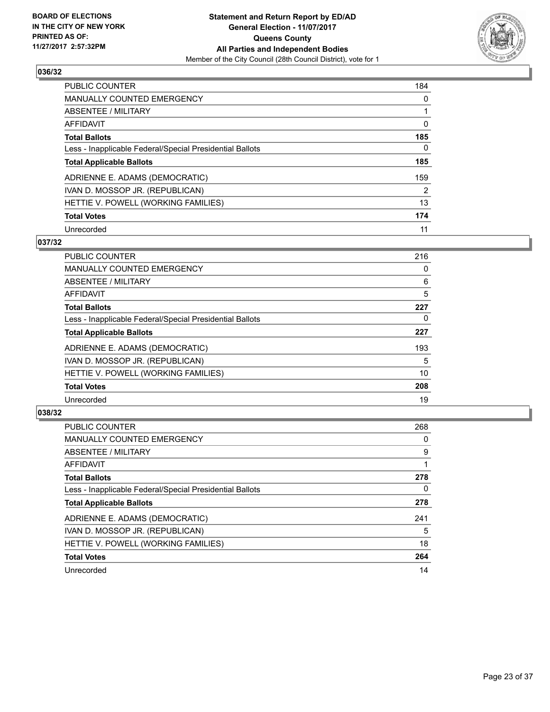

| <b>PUBLIC COUNTER</b>                                    | 184 |
|----------------------------------------------------------|-----|
| <b>MANUALLY COUNTED EMERGENCY</b>                        | 0   |
| ABSENTEE / MILITARY                                      |     |
| AFFIDAVIT                                                | 0   |
| <b>Total Ballots</b>                                     | 185 |
| Less - Inapplicable Federal/Special Presidential Ballots | 0   |
| <b>Total Applicable Ballots</b>                          | 185 |
| ADRIENNE E. ADAMS (DEMOCRATIC)                           | 159 |
| IVAN D. MOSSOP JR. (REPUBLICAN)                          | 2   |
| HETTIE V. POWELL (WORKING FAMILIES)                      | 13  |
| <b>Total Votes</b>                                       | 174 |
| Unrecorded                                               | 11  |

#### **037/32**

| <b>PUBLIC COUNTER</b>                                    | 216 |
|----------------------------------------------------------|-----|
| MANUALLY COUNTED EMERGENCY                               | 0   |
| ABSENTEE / MILITARY                                      | 6   |
| <b>AFFIDAVIT</b>                                         | 5   |
| <b>Total Ballots</b>                                     | 227 |
| Less - Inapplicable Federal/Special Presidential Ballots | 0   |
| <b>Total Applicable Ballots</b>                          | 227 |
| ADRIENNE E. ADAMS (DEMOCRATIC)                           | 193 |
| IVAN D. MOSSOP JR. (REPUBLICAN)                          | 5   |
| HETTIE V. POWELL (WORKING FAMILIES)                      | 10  |
| <b>Total Votes</b>                                       | 208 |
| Unrecorded                                               | 19  |

| <b>PUBLIC COUNTER</b>                                    | 268 |
|----------------------------------------------------------|-----|
| <b>MANUALLY COUNTED EMERGENCY</b>                        | 0   |
| ABSENTEE / MILITARY                                      | 9   |
| AFFIDAVIT                                                |     |
| <b>Total Ballots</b>                                     | 278 |
| Less - Inapplicable Federal/Special Presidential Ballots | 0   |
| <b>Total Applicable Ballots</b>                          | 278 |
| ADRIENNE E. ADAMS (DEMOCRATIC)                           | 241 |
| IVAN D. MOSSOP JR. (REPUBLICAN)                          | 5   |
| HETTIE V. POWELL (WORKING FAMILIES)                      | 18  |
| <b>Total Votes</b>                                       | 264 |
| Unrecorded                                               | 14  |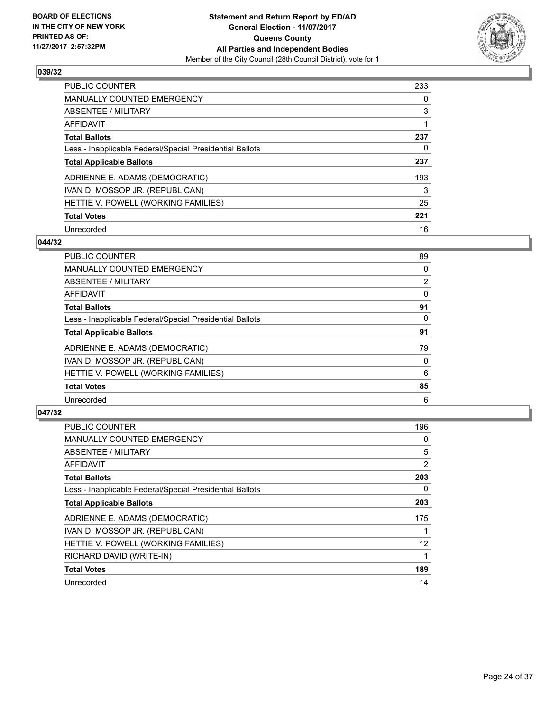

| <b>PUBLIC COUNTER</b>                                    | 233 |
|----------------------------------------------------------|-----|
| <b>MANUALLY COUNTED EMERGENCY</b>                        | 0   |
| ABSENTEE / MILITARY                                      | 3   |
| AFFIDAVIT                                                |     |
| <b>Total Ballots</b>                                     | 237 |
| Less - Inapplicable Federal/Special Presidential Ballots | 0   |
| <b>Total Applicable Ballots</b>                          | 237 |
| ADRIENNE E. ADAMS (DEMOCRATIC)                           | 193 |
| IVAN D. MOSSOP JR. (REPUBLICAN)                          | 3   |
| HETTIE V. POWELL (WORKING FAMILIES)                      | 25  |
| <b>Total Votes</b>                                       | 221 |
| Unrecorded                                               | 16  |

# **044/32**

| <b>PUBLIC COUNTER</b>                                    | 89             |
|----------------------------------------------------------|----------------|
| <b>MANUALLY COUNTED EMERGENCY</b>                        | 0              |
| ABSENTEE / MILITARY                                      | $\overline{2}$ |
| <b>AFFIDAVIT</b>                                         | 0              |
| <b>Total Ballots</b>                                     | 91             |
| Less - Inapplicable Federal/Special Presidential Ballots | 0              |
| <b>Total Applicable Ballots</b>                          | 91             |
| ADRIENNE E. ADAMS (DEMOCRATIC)                           | 79             |
| IVAN D. MOSSOP JR. (REPUBLICAN)                          | 0              |
| HETTIE V. POWELL (WORKING FAMILIES)                      | 6              |
| <b>Total Votes</b>                                       | 85             |
| Unrecorded                                               | 6              |

| <b>PUBLIC COUNTER</b>                                    | 196            |
|----------------------------------------------------------|----------------|
| <b>MANUALLY COUNTED EMERGENCY</b>                        | 0              |
| ABSENTEE / MILITARY                                      | 5              |
| <b>AFFIDAVIT</b>                                         | $\overline{2}$ |
| <b>Total Ballots</b>                                     | 203            |
| Less - Inapplicable Federal/Special Presidential Ballots | 0              |
| <b>Total Applicable Ballots</b>                          | 203            |
| ADRIENNE E. ADAMS (DEMOCRATIC)                           | 175            |
| IVAN D. MOSSOP JR. (REPUBLICAN)                          |                |
| HETTIE V. POWELL (WORKING FAMILIES)                      | 12             |
| RICHARD DAVID (WRITE-IN)                                 |                |
| <b>Total Votes</b>                                       | 189            |
| Unrecorded                                               | 14             |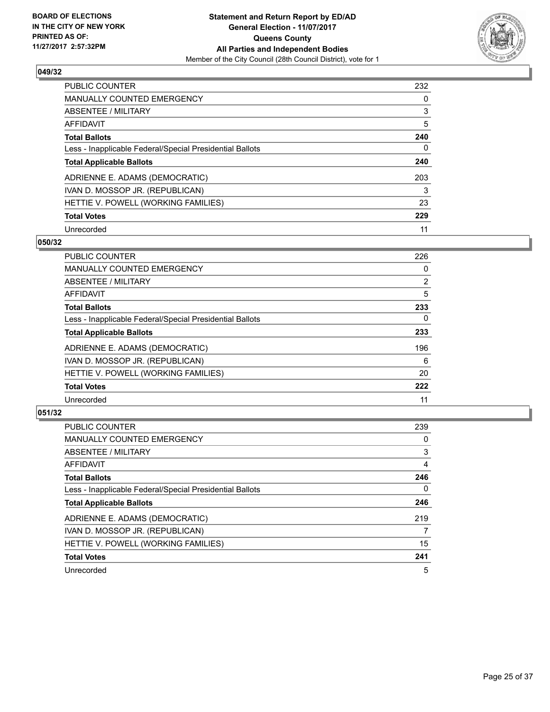

| <b>PUBLIC COUNTER</b>                                    | 232 |
|----------------------------------------------------------|-----|
| <b>MANUALLY COUNTED EMERGENCY</b>                        | 0   |
| ABSENTEE / MILITARY                                      | 3   |
| AFFIDAVIT                                                | 5   |
| <b>Total Ballots</b>                                     | 240 |
| Less - Inapplicable Federal/Special Presidential Ballots | 0   |
| <b>Total Applicable Ballots</b>                          | 240 |
| ADRIENNE E. ADAMS (DEMOCRATIC)                           | 203 |
| IVAN D. MOSSOP JR. (REPUBLICAN)                          | 3   |
| HETTIE V. POWELL (WORKING FAMILIES)                      | 23  |
| <b>Total Votes</b>                                       | 229 |
| Unrecorded                                               | 11  |

#### **050/32**

| <b>PUBLIC COUNTER</b>                                    | 226            |
|----------------------------------------------------------|----------------|
| <b>MANUALLY COUNTED EMERGENCY</b>                        | 0              |
| ABSENTEE / MILITARY                                      | $\overline{2}$ |
| <b>AFFIDAVIT</b>                                         | 5              |
| <b>Total Ballots</b>                                     | 233            |
| Less - Inapplicable Federal/Special Presidential Ballots | 0              |
| <b>Total Applicable Ballots</b>                          | 233            |
| ADRIENNE E. ADAMS (DEMOCRATIC)                           | 196            |
| IVAN D. MOSSOP JR. (REPUBLICAN)                          | 6              |
| HETTIE V. POWELL (WORKING FAMILIES)                      | 20             |
| <b>Total Votes</b>                                       | 222            |
| Unrecorded                                               | 11             |

| <b>PUBLIC COUNTER</b>                                    | 239 |
|----------------------------------------------------------|-----|
| <b>MANUALLY COUNTED EMERGENCY</b>                        | 0   |
| ABSENTEE / MILITARY                                      | 3   |
| AFFIDAVIT                                                | 4   |
| <b>Total Ballots</b>                                     | 246 |
| Less - Inapplicable Federal/Special Presidential Ballots | 0   |
| <b>Total Applicable Ballots</b>                          | 246 |
| ADRIENNE E. ADAMS (DEMOCRATIC)                           | 219 |
| IVAN D. MOSSOP JR. (REPUBLICAN)                          | 7   |
| HETTIE V. POWELL (WORKING FAMILIES)                      | 15  |
| <b>Total Votes</b>                                       | 241 |
| Unrecorded                                               | 5   |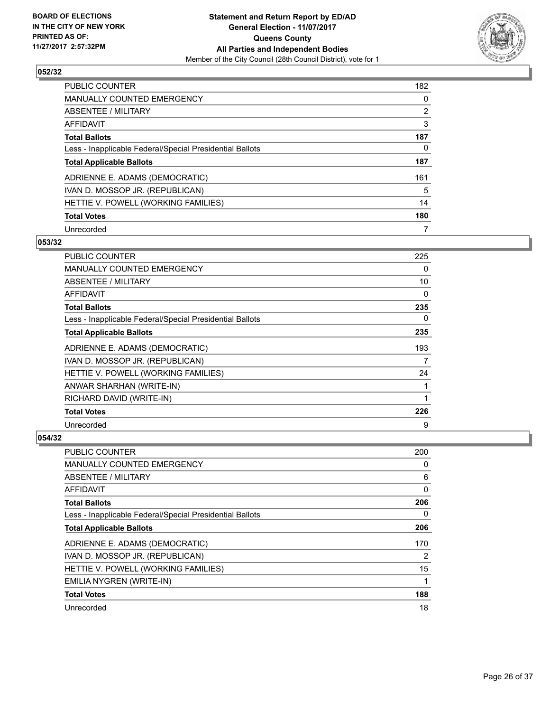

| <b>PUBLIC COUNTER</b>                                    | 182            |
|----------------------------------------------------------|----------------|
| MANUALLY COUNTED EMERGENCY                               | 0              |
| ABSENTEE / MILITARY                                      | $\overline{2}$ |
| AFFIDAVIT                                                | 3              |
| <b>Total Ballots</b>                                     | 187            |
| Less - Inapplicable Federal/Special Presidential Ballots | 0              |
| <b>Total Applicable Ballots</b>                          | 187            |
| ADRIENNE E. ADAMS (DEMOCRATIC)                           | 161            |
| IVAN D. MOSSOP JR. (REPUBLICAN)                          | 5              |
| HETTIE V. POWELL (WORKING FAMILIES)                      | 14             |
| <b>Total Votes</b>                                       | 180            |
| Unrecorded                                               |                |

#### **053/32**

| <b>PUBLIC COUNTER</b>                                    | 225 |
|----------------------------------------------------------|-----|
| MANUALLY COUNTED EMERGENCY                               | 0   |
| ABSENTEE / MILITARY                                      | 10  |
| AFFIDAVIT                                                | 0   |
| <b>Total Ballots</b>                                     | 235 |
| Less - Inapplicable Federal/Special Presidential Ballots | 0   |
| <b>Total Applicable Ballots</b>                          | 235 |
| ADRIENNE E. ADAMS (DEMOCRATIC)                           | 193 |
| IVAN D. MOSSOP JR. (REPUBLICAN)                          | 7   |
| HETTIE V. POWELL (WORKING FAMILIES)                      | 24  |
| ANWAR SHARHAN (WRITE-IN)                                 | 1   |
| RICHARD DAVID (WRITE-IN)                                 | 1   |
| <b>Total Votes</b>                                       | 226 |
| Unrecorded                                               | 9   |

| <b>PUBLIC COUNTER</b>                                    | 200 |
|----------------------------------------------------------|-----|
| <b>MANUALLY COUNTED EMERGENCY</b>                        | 0   |
| ABSENTEE / MILITARY                                      | 6   |
| AFFIDAVIT                                                | 0   |
| <b>Total Ballots</b>                                     | 206 |
| Less - Inapplicable Federal/Special Presidential Ballots | 0   |
| <b>Total Applicable Ballots</b>                          | 206 |
| ADRIENNE E. ADAMS (DEMOCRATIC)                           | 170 |
| IVAN D. MOSSOP JR. (REPUBLICAN)                          | 2   |
| HETTIE V. POWELL (WORKING FAMILIES)                      | 15  |
| EMILIA NYGREN (WRITE-IN)                                 | 1   |
| <b>Total Votes</b>                                       | 188 |
| Unrecorded                                               | 18  |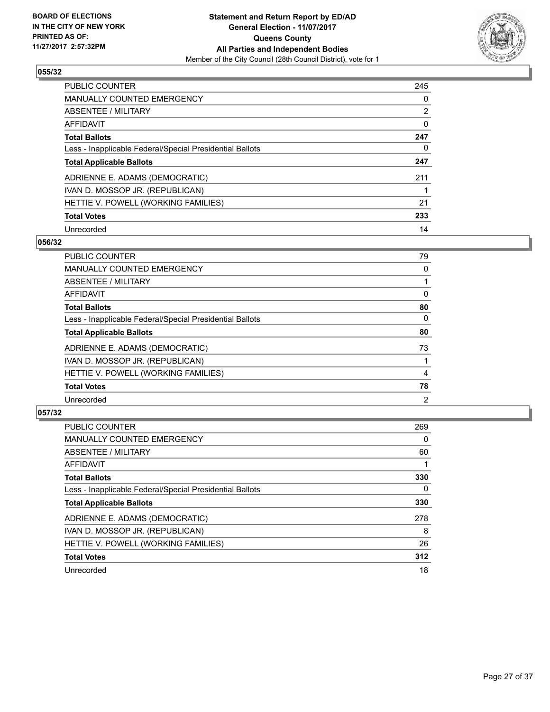

| <b>PUBLIC COUNTER</b>                                    | 245            |
|----------------------------------------------------------|----------------|
| <b>MANUALLY COUNTED EMERGENCY</b>                        | 0              |
| ABSENTEE / MILITARY                                      | $\overline{2}$ |
| AFFIDAVIT                                                | 0              |
| <b>Total Ballots</b>                                     | 247            |
| Less - Inapplicable Federal/Special Presidential Ballots | 0              |
| <b>Total Applicable Ballots</b>                          | 247            |
| ADRIENNE E. ADAMS (DEMOCRATIC)                           | 211            |
| IVAN D. MOSSOP JR. (REPUBLICAN)                          |                |
| HETTIE V. POWELL (WORKING FAMILIES)                      | 21             |
| <b>Total Votes</b>                                       | 233            |
| Unrecorded                                               | 14             |

#### **056/32**

| <b>PUBLIC COUNTER</b>                                    | 79             |
|----------------------------------------------------------|----------------|
| <b>MANUALLY COUNTED EMERGENCY</b>                        | 0              |
| ABSENTEE / MILITARY                                      |                |
| AFFIDAVIT                                                | 0              |
| <b>Total Ballots</b>                                     | 80             |
| Less - Inapplicable Federal/Special Presidential Ballots | 0              |
| <b>Total Applicable Ballots</b>                          | 80             |
| ADRIENNE E. ADAMS (DEMOCRATIC)                           | 73             |
| IVAN D. MOSSOP JR. (REPUBLICAN)                          |                |
| HETTIE V. POWELL (WORKING FAMILIES)                      | 4              |
| <b>Total Votes</b>                                       | 78             |
| Unrecorded                                               | $\overline{2}$ |

| <b>PUBLIC COUNTER</b>                                    | 269 |
|----------------------------------------------------------|-----|
| <b>MANUALLY COUNTED EMERGENCY</b>                        | 0   |
| ABSENTEE / MILITARY                                      | 60  |
| <b>AFFIDAVIT</b>                                         |     |
| <b>Total Ballots</b>                                     | 330 |
| Less - Inapplicable Federal/Special Presidential Ballots | 0   |
| <b>Total Applicable Ballots</b>                          | 330 |
| ADRIENNE E. ADAMS (DEMOCRATIC)                           | 278 |
| IVAN D. MOSSOP JR. (REPUBLICAN)                          | 8   |
| HETTIE V. POWELL (WORKING FAMILIES)                      | 26  |
| <b>Total Votes</b>                                       | 312 |
| Unrecorded                                               | 18  |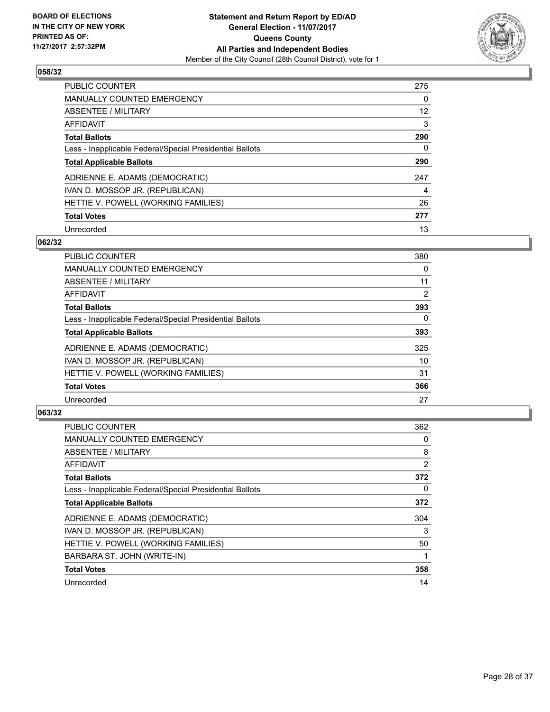

| <b>PUBLIC COUNTER</b>                                    | 275 |
|----------------------------------------------------------|-----|
| <b>MANUALLY COUNTED EMERGENCY</b>                        | 0   |
| ABSENTEE / MILITARY                                      | 12  |
| AFFIDAVIT                                                | 3   |
| <b>Total Ballots</b>                                     | 290 |
| Less - Inapplicable Federal/Special Presidential Ballots | 0   |
| <b>Total Applicable Ballots</b>                          | 290 |
| ADRIENNE E. ADAMS (DEMOCRATIC)                           | 247 |
| IVAN D. MOSSOP JR. (REPUBLICAN)                          | 4   |
| HETTIE V. POWELL (WORKING FAMILIES)                      | 26  |
| <b>Total Votes</b>                                       | 277 |
| Unrecorded                                               | 13  |

#### **062/32**

| <b>PUBLIC COUNTER</b>                                    | 380            |
|----------------------------------------------------------|----------------|
| <b>MANUALLY COUNTED EMERGENCY</b>                        | 0              |
| ABSENTEE / MILITARY                                      | 11             |
| <b>AFFIDAVIT</b>                                         | $\overline{2}$ |
| <b>Total Ballots</b>                                     | 393            |
| Less - Inapplicable Federal/Special Presidential Ballots | $\Omega$       |
| <b>Total Applicable Ballots</b>                          | 393            |
| ADRIENNE E. ADAMS (DEMOCRATIC)                           | 325            |
| IVAN D. MOSSOP JR. (REPUBLICAN)                          | 10             |
| HETTIE V. POWELL (WORKING FAMILIES)                      | 31             |
| <b>Total Votes</b>                                       | 366            |
| Unrecorded                                               | 27             |

| <b>PUBLIC COUNTER</b>                                    | 362            |
|----------------------------------------------------------|----------------|
| <b>MANUALLY COUNTED EMERGENCY</b>                        | 0              |
| ABSENTEE / MILITARY                                      | 8              |
| AFFIDAVIT                                                | $\overline{2}$ |
| <b>Total Ballots</b>                                     | 372            |
| Less - Inapplicable Federal/Special Presidential Ballots | 0              |
| <b>Total Applicable Ballots</b>                          | 372            |
| ADRIENNE E. ADAMS (DEMOCRATIC)                           | 304            |
| IVAN D. MOSSOP JR. (REPUBLICAN)                          | 3              |
| HETTIE V. POWELL (WORKING FAMILIES)                      | 50             |
| BARBARA ST. JOHN (WRITE-IN)                              |                |
| <b>Total Votes</b>                                       | 358            |
| Unrecorded                                               | 14             |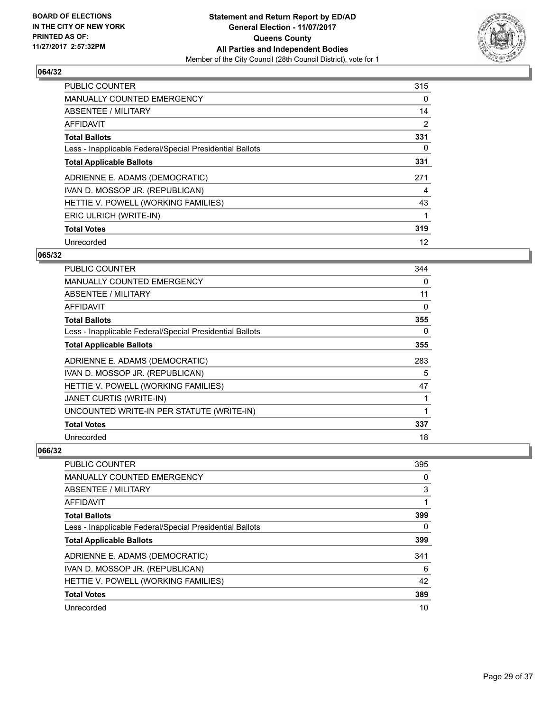

| <b>PUBLIC COUNTER</b>                                    | 315 |
|----------------------------------------------------------|-----|
| <b>MANUALLY COUNTED EMERGENCY</b>                        | 0   |
| ABSENTEE / MILITARY                                      | 14  |
| <b>AFFIDAVIT</b>                                         | 2   |
| <b>Total Ballots</b>                                     | 331 |
| Less - Inapplicable Federal/Special Presidential Ballots | 0   |
| <b>Total Applicable Ballots</b>                          | 331 |
| ADRIENNE E. ADAMS (DEMOCRATIC)                           | 271 |
| IVAN D. MOSSOP JR. (REPUBLICAN)                          | 4   |
| HETTIE V. POWELL (WORKING FAMILIES)                      | 43  |
| ERIC ULRICH (WRITE-IN)                                   | 1   |
| <b>Total Votes</b>                                       | 319 |
| Unrecorded                                               | 12  |

## **065/32**

| PUBLIC COUNTER                                           | 344 |
|----------------------------------------------------------|-----|
| <b>MANUALLY COUNTED EMERGENCY</b>                        | 0   |
| ABSENTEE / MILITARY                                      | 11  |
| AFFIDAVIT                                                | 0   |
| <b>Total Ballots</b>                                     | 355 |
| Less - Inapplicable Federal/Special Presidential Ballots | 0   |
| <b>Total Applicable Ballots</b>                          | 355 |
| ADRIENNE E. ADAMS (DEMOCRATIC)                           | 283 |
| IVAN D. MOSSOP JR. (REPUBLICAN)                          | 5   |
| HETTIE V. POWELL (WORKING FAMILIES)                      | 47  |
| JANET CURTIS (WRITE-IN)                                  | 1   |
| UNCOUNTED WRITE-IN PER STATUTE (WRITE-IN)                | 1   |
| <b>Total Votes</b>                                       | 337 |
| Unrecorded                                               | 18  |

| PUBLIC COUNTER                                           | 395 |
|----------------------------------------------------------|-----|
| <b>MANUALLY COUNTED EMERGENCY</b>                        | 0   |
| ABSENTEE / MILITARY                                      | 3   |
| AFFIDAVIT                                                |     |
| <b>Total Ballots</b>                                     | 399 |
| Less - Inapplicable Federal/Special Presidential Ballots | 0   |
| <b>Total Applicable Ballots</b>                          | 399 |
| ADRIENNE E. ADAMS (DEMOCRATIC)                           | 341 |
| IVAN D. MOSSOP JR. (REPUBLICAN)                          | 6   |
| HETTIE V. POWELL (WORKING FAMILIES)                      | 42  |
| <b>Total Votes</b>                                       | 389 |
| Unrecorded                                               | 10  |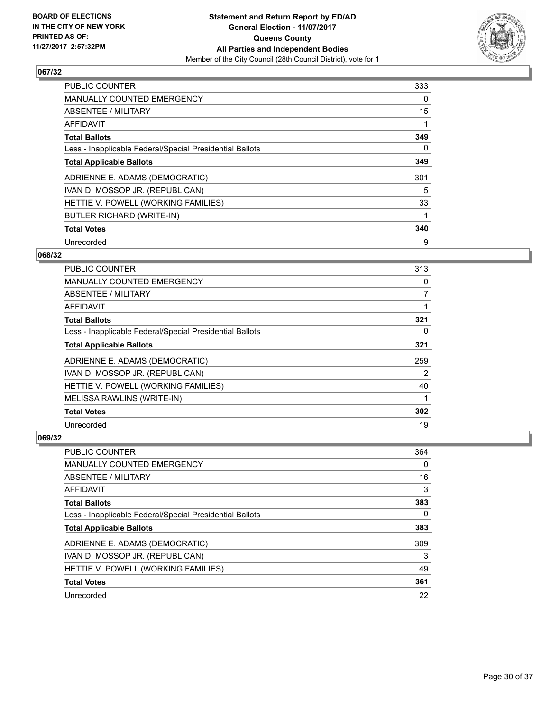

| <b>PUBLIC COUNTER</b>                                    | 333 |
|----------------------------------------------------------|-----|
| <b>MANUALLY COUNTED EMERGENCY</b>                        | 0   |
| ABSENTEE / MILITARY                                      | 15  |
| <b>AFFIDAVIT</b>                                         |     |
| <b>Total Ballots</b>                                     | 349 |
| Less - Inapplicable Federal/Special Presidential Ballots | 0   |
| <b>Total Applicable Ballots</b>                          | 349 |
| ADRIENNE E. ADAMS (DEMOCRATIC)                           | 301 |
| IVAN D. MOSSOP JR. (REPUBLICAN)                          | 5   |
| HETTIE V. POWELL (WORKING FAMILIES)                      | 33  |
| <b>BUTLER RICHARD (WRITE-IN)</b>                         |     |
| <b>Total Votes</b>                                       | 340 |
| Unrecorded                                               | 9   |

## **068/32**

| <b>PUBLIC COUNTER</b>                                    | 313            |
|----------------------------------------------------------|----------------|
| MANUALLY COUNTED EMERGENCY                               | 0              |
| ABSENTEE / MILITARY                                      | $\overline{7}$ |
| AFFIDAVIT                                                |                |
| <b>Total Ballots</b>                                     | 321            |
| Less - Inapplicable Federal/Special Presidential Ballots | 0              |
| <b>Total Applicable Ballots</b>                          | 321            |
| ADRIENNE E. ADAMS (DEMOCRATIC)                           | 259            |
| IVAN D. MOSSOP JR. (REPUBLICAN)                          | 2              |
| HETTIE V. POWELL (WORKING FAMILIES)                      | 40             |
| MELISSA RAWLINS (WRITE-IN)                               |                |
| <b>Total Votes</b>                                       | 302            |
| Unrecorded                                               | 19             |

| <b>PUBLIC COUNTER</b>                                    | 364 |
|----------------------------------------------------------|-----|
| MANUALLY COUNTED EMERGENCY                               | 0   |
| ABSENTEE / MILITARY                                      | 16  |
| AFFIDAVIT                                                | 3   |
| <b>Total Ballots</b>                                     | 383 |
| Less - Inapplicable Federal/Special Presidential Ballots | 0   |
| <b>Total Applicable Ballots</b>                          | 383 |
| ADRIENNE E. ADAMS (DEMOCRATIC)                           | 309 |
| IVAN D. MOSSOP JR. (REPUBLICAN)                          | 3   |
| HETTIE V. POWELL (WORKING FAMILIES)                      | 49  |
| <b>Total Votes</b>                                       | 361 |
| Unrecorded                                               | 22  |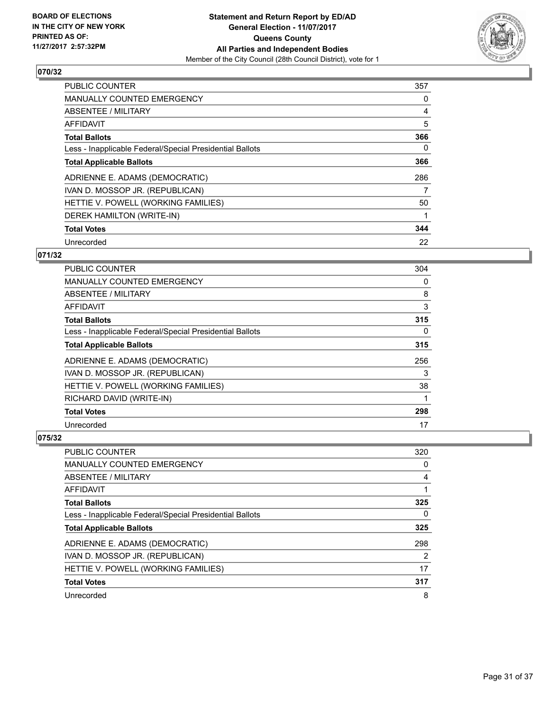

| <b>PUBLIC COUNTER</b>                                    | 357 |
|----------------------------------------------------------|-----|
| <b>MANUALLY COUNTED EMERGENCY</b>                        | 0   |
| ABSENTEE / MILITARY                                      | 4   |
| <b>AFFIDAVIT</b>                                         | 5   |
| <b>Total Ballots</b>                                     | 366 |
| Less - Inapplicable Federal/Special Presidential Ballots | 0   |
| <b>Total Applicable Ballots</b>                          | 366 |
| ADRIENNE E. ADAMS (DEMOCRATIC)                           | 286 |
| IVAN D. MOSSOP JR. (REPUBLICAN)                          | 7   |
| HETTIE V. POWELL (WORKING FAMILIES)                      | 50  |
| DEREK HAMILTON (WRITE-IN)                                |     |
| <b>Total Votes</b>                                       | 344 |
| Unrecorded                                               | 22  |

## **071/32**

| PUBLIC COUNTER                                           | 304 |
|----------------------------------------------------------|-----|
| <b>MANUALLY COUNTED EMERGENCY</b>                        | 0   |
| ABSENTEE / MILITARY                                      | 8   |
| AFFIDAVIT                                                | 3   |
| <b>Total Ballots</b>                                     | 315 |
| Less - Inapplicable Federal/Special Presidential Ballots | 0   |
| <b>Total Applicable Ballots</b>                          | 315 |
| ADRIENNE E. ADAMS (DEMOCRATIC)                           | 256 |
| IVAN D. MOSSOP JR. (REPUBLICAN)                          | 3   |
| HETTIE V. POWELL (WORKING FAMILIES)                      | 38  |
| RICHARD DAVID (WRITE-IN)                                 |     |
| <b>Total Votes</b>                                       | 298 |
| Unrecorded                                               | 17  |

| PUBLIC COUNTER                                           | 320 |
|----------------------------------------------------------|-----|
| <b>MANUALLY COUNTED EMERGENCY</b>                        | 0   |
| ABSENTEE / MILITARY                                      | 4   |
| AFFIDAVIT                                                |     |
| <b>Total Ballots</b>                                     | 325 |
| Less - Inapplicable Federal/Special Presidential Ballots | 0   |
| <b>Total Applicable Ballots</b>                          | 325 |
| ADRIENNE E. ADAMS (DEMOCRATIC)                           | 298 |
| IVAN D. MOSSOP JR. (REPUBLICAN)                          | 2   |
| HETTIE V. POWELL (WORKING FAMILIES)                      | 17  |
| <b>Total Votes</b>                                       | 317 |
| Unrecorded                                               | 8   |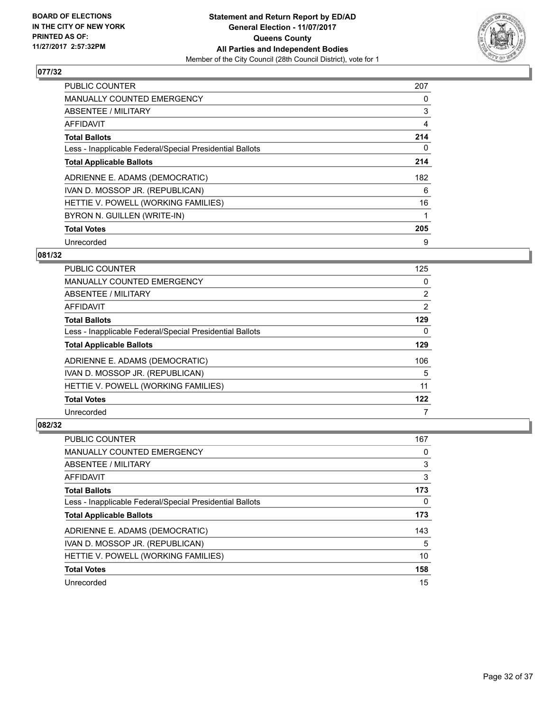

| <b>PUBLIC COUNTER</b>                                    | 207 |
|----------------------------------------------------------|-----|
| <b>MANUALLY COUNTED EMERGENCY</b>                        | 0   |
| ABSENTEE / MILITARY                                      | 3   |
| <b>AFFIDAVIT</b>                                         | 4   |
| <b>Total Ballots</b>                                     | 214 |
| Less - Inapplicable Federal/Special Presidential Ballots | 0   |
| <b>Total Applicable Ballots</b>                          | 214 |
| ADRIENNE E. ADAMS (DEMOCRATIC)                           | 182 |
| IVAN D. MOSSOP JR. (REPUBLICAN)                          | 6   |
| HETTIE V. POWELL (WORKING FAMILIES)                      | 16  |
| BYRON N. GUILLEN (WRITE-IN)                              |     |
| <b>Total Votes</b>                                       | 205 |
| Unrecorded                                               | 9   |

#### **081/32**

| <b>PUBLIC COUNTER</b>                                    | 125 |
|----------------------------------------------------------|-----|
| <b>MANUALLY COUNTED EMERGENCY</b>                        | 0   |
| ABSENTEE / MILITARY                                      | 2   |
| AFFIDAVIT                                                | 2   |
| <b>Total Ballots</b>                                     | 129 |
| Less - Inapplicable Federal/Special Presidential Ballots | 0   |
| <b>Total Applicable Ballots</b>                          | 129 |
| ADRIENNE E. ADAMS (DEMOCRATIC)                           | 106 |
| IVAN D. MOSSOP JR. (REPUBLICAN)                          | 5   |
| HETTIE V. POWELL (WORKING FAMILIES)                      | 11  |
| <b>Total Votes</b>                                       | 122 |
| Unrecorded                                               | 7   |

| <b>PUBLIC COUNTER</b>                                    | 167 |
|----------------------------------------------------------|-----|
| <b>MANUALLY COUNTED EMERGENCY</b>                        | 0   |
| ABSENTEE / MILITARY                                      | 3   |
| AFFIDAVIT                                                | 3   |
| <b>Total Ballots</b>                                     | 173 |
| Less - Inapplicable Federal/Special Presidential Ballots | 0   |
| <b>Total Applicable Ballots</b>                          | 173 |
| ADRIENNE E. ADAMS (DEMOCRATIC)                           | 143 |
| IVAN D. MOSSOP JR. (REPUBLICAN)                          | 5   |
| HETTIE V. POWELL (WORKING FAMILIES)                      | 10  |
| <b>Total Votes</b>                                       | 158 |
| Unrecorded                                               | 15  |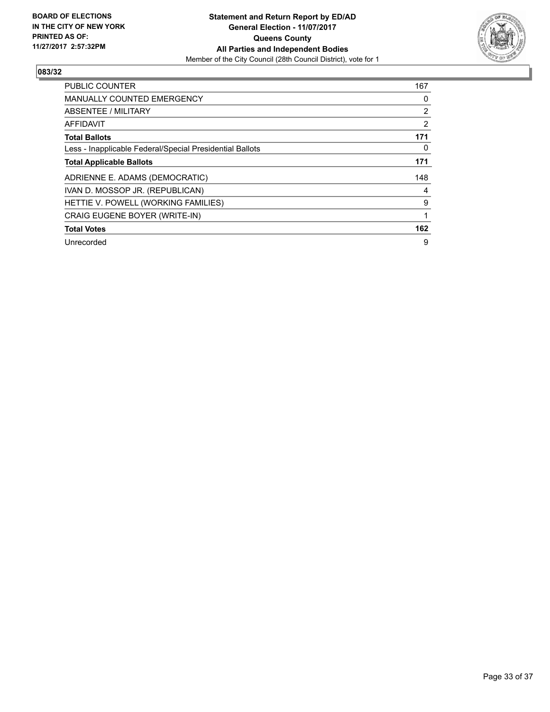

| PUBLIC COUNTER                                           | 167 |
|----------------------------------------------------------|-----|
| <b>MANUALLY COUNTED EMERGENCY</b>                        | 0   |
| ABSENTEE / MILITARY                                      | 2   |
| <b>AFFIDAVIT</b>                                         | 2   |
| <b>Total Ballots</b>                                     | 171 |
| Less - Inapplicable Federal/Special Presidential Ballots | 0   |
| <b>Total Applicable Ballots</b>                          | 171 |
| ADRIENNE E. ADAMS (DEMOCRATIC)                           | 148 |
| IVAN D. MOSSOP JR. (REPUBLICAN)                          | 4   |
| HETTIE V. POWELL (WORKING FAMILIES)                      | 9   |
| CRAIG EUGENE BOYER (WRITE-IN)                            | 1   |
| <b>Total Votes</b>                                       | 162 |
| Unrecorded                                               | 9   |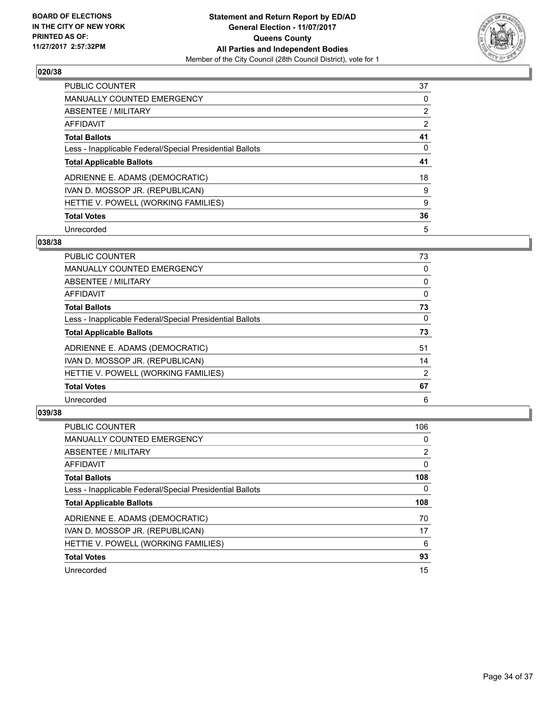

| <b>PUBLIC COUNTER</b>                                    | 37 |
|----------------------------------------------------------|----|
| <b>MANUALLY COUNTED EMERGENCY</b>                        | 0  |
| ABSENTEE / MILITARY                                      | 2  |
| AFFIDAVIT                                                | 2  |
| <b>Total Ballots</b>                                     | 41 |
| Less - Inapplicable Federal/Special Presidential Ballots | 0  |
| <b>Total Applicable Ballots</b>                          | 41 |
| ADRIENNE E. ADAMS (DEMOCRATIC)                           | 18 |
| IVAN D. MOSSOP JR. (REPUBLICAN)                          | 9  |
| HETTIE V. POWELL (WORKING FAMILIES)                      | 9  |
| <b>Total Votes</b>                                       | 36 |
| Unrecorded                                               | 5  |

#### **038/38**

| <b>PUBLIC COUNTER</b>                                    | 73       |
|----------------------------------------------------------|----------|
| <b>MANUALLY COUNTED EMERGENCY</b>                        | 0        |
| ABSENTEE / MILITARY                                      | 0        |
| <b>AFFIDAVIT</b>                                         | 0        |
| <b>Total Ballots</b>                                     | 73       |
| Less - Inapplicable Federal/Special Presidential Ballots | $\Omega$ |
| <b>Total Applicable Ballots</b>                          | 73       |
| ADRIENNE E. ADAMS (DEMOCRATIC)                           | 51       |
| IVAN D. MOSSOP JR. (REPUBLICAN)                          | 14       |
| HETTIE V. POWELL (WORKING FAMILIES)                      | 2        |
| <b>Total Votes</b>                                       | 67       |
| Unrecorded                                               | 6        |

| <b>PUBLIC COUNTER</b>                                    | 106 |
|----------------------------------------------------------|-----|
| <b>MANUALLY COUNTED EMERGENCY</b>                        | 0   |
| ABSENTEE / MILITARY                                      | 2   |
| AFFIDAVIT                                                | 0   |
| <b>Total Ballots</b>                                     | 108 |
| Less - Inapplicable Federal/Special Presidential Ballots | 0   |
| <b>Total Applicable Ballots</b>                          | 108 |
| ADRIENNE E. ADAMS (DEMOCRATIC)                           | 70  |
| IVAN D. MOSSOP JR. (REPUBLICAN)                          | 17  |
| HETTIE V. POWELL (WORKING FAMILIES)                      | 6   |
| <b>Total Votes</b>                                       | 93  |
| Unrecorded                                               | 15  |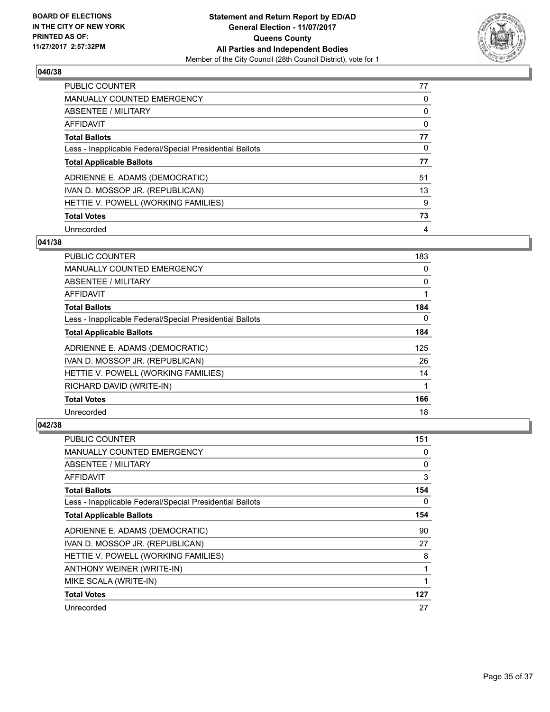

| <b>PUBLIC COUNTER</b>                                    | 77 |
|----------------------------------------------------------|----|
| <b>MANUALLY COUNTED EMERGENCY</b>                        | 0  |
| ABSENTEE / MILITARY                                      | 0  |
| AFFIDAVIT                                                | 0  |
| <b>Total Ballots</b>                                     | 77 |
| Less - Inapplicable Federal/Special Presidential Ballots | 0  |
| <b>Total Applicable Ballots</b>                          | 77 |
| ADRIENNE E. ADAMS (DEMOCRATIC)                           | 51 |
| IVAN D. MOSSOP JR. (REPUBLICAN)                          | 13 |
| HETTIE V. POWELL (WORKING FAMILIES)                      | 9  |
| <b>Total Votes</b>                                       | 73 |
| Unrecorded                                               | 4  |

#### **041/38**

| <b>PUBLIC COUNTER</b>                                    | 183      |
|----------------------------------------------------------|----------|
| <b>MANUALLY COUNTED EMERGENCY</b>                        | 0        |
| ABSENTEE / MILITARY                                      | 0        |
| <b>AFFIDAVIT</b>                                         |          |
| <b>Total Ballots</b>                                     | 184      |
| Less - Inapplicable Federal/Special Presidential Ballots | $\Omega$ |
| <b>Total Applicable Ballots</b>                          | 184      |
| ADRIENNE E. ADAMS (DEMOCRATIC)                           | 125      |
| IVAN D. MOSSOP JR. (REPUBLICAN)                          | 26       |
| HETTIE V. POWELL (WORKING FAMILIES)                      | 14       |
| RICHARD DAVID (WRITE-IN)                                 | 1        |
| <b>Total Votes</b>                                       | 166      |
| Unrecorded                                               | 18       |

| <b>PUBLIC COUNTER</b>                                    | 151 |
|----------------------------------------------------------|-----|
| <b>MANUALLY COUNTED EMERGENCY</b>                        | 0   |
| ABSENTEE / MILITARY                                      | 0   |
| AFFIDAVIT                                                | 3   |
| <b>Total Ballots</b>                                     | 154 |
| Less - Inapplicable Federal/Special Presidential Ballots | 0   |
| <b>Total Applicable Ballots</b>                          | 154 |
| ADRIENNE E. ADAMS (DEMOCRATIC)                           | 90  |
| IVAN D. MOSSOP JR. (REPUBLICAN)                          | 27  |
| HETTIE V. POWELL (WORKING FAMILIES)                      | 8   |
| ANTHONY WEINER (WRITE-IN)                                | 1   |
| MIKE SCALA (WRITE-IN)                                    | 1   |
| <b>Total Votes</b>                                       | 127 |
| Unrecorded                                               | 27  |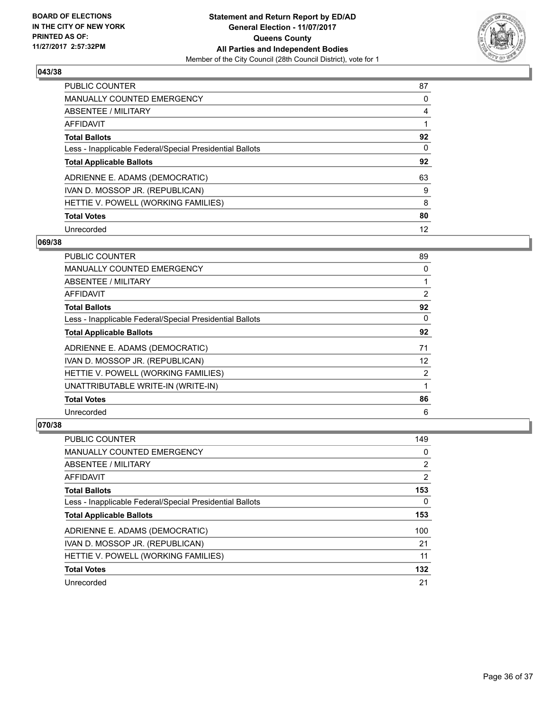

| <b>PUBLIC COUNTER</b>                                    | 87 |
|----------------------------------------------------------|----|
| <b>MANUALLY COUNTED EMERGENCY</b>                        | 0  |
| ABSENTEE / MILITARY                                      | 4  |
| AFFIDAVIT                                                |    |
| <b>Total Ballots</b>                                     | 92 |
| Less - Inapplicable Federal/Special Presidential Ballots | 0  |
| <b>Total Applicable Ballots</b>                          | 92 |
| ADRIENNE E. ADAMS (DEMOCRATIC)                           | 63 |
| IVAN D. MOSSOP JR. (REPUBLICAN)                          | 9  |
| HETTIE V. POWELL (WORKING FAMILIES)                      | 8  |
| <b>Total Votes</b>                                       | 80 |
| Unrecorded                                               | 12 |

#### **069/38**

| PUBLIC COUNTER                                           | 89       |
|----------------------------------------------------------|----------|
| <b>MANUALLY COUNTED EMERGENCY</b>                        | 0        |
| ABSENTEE / MILITARY                                      |          |
| AFFIDAVIT                                                | 2        |
| <b>Total Ballots</b>                                     | 92       |
| Less - Inapplicable Federal/Special Presidential Ballots | $\Omega$ |
| <b>Total Applicable Ballots</b>                          | 92       |
| ADRIENNE E. ADAMS (DEMOCRATIC)                           | 71       |
| IVAN D. MOSSOP JR. (REPUBLICAN)                          | 12       |
| HETTIE V. POWELL (WORKING FAMILIES)                      | 2        |
| UNATTRIBUTABLE WRITE-IN (WRITE-IN)                       | 1        |
| <b>Total Votes</b>                                       | 86       |
| Unrecorded                                               | 6        |

| PUBLIC COUNTER                                           | 149 |
|----------------------------------------------------------|-----|
| <b>MANUALLY COUNTED EMERGENCY</b>                        | 0   |
| ABSENTEE / MILITARY                                      | 2   |
| AFFIDAVIT                                                | 2   |
| <b>Total Ballots</b>                                     | 153 |
| Less - Inapplicable Federal/Special Presidential Ballots | 0   |
| <b>Total Applicable Ballots</b>                          | 153 |
| ADRIENNE E. ADAMS (DEMOCRATIC)                           | 100 |
| IVAN D. MOSSOP JR. (REPUBLICAN)                          | 21  |
| HETTIE V. POWELL (WORKING FAMILIES)                      | 11  |
| <b>Total Votes</b>                                       | 132 |
|                                                          |     |